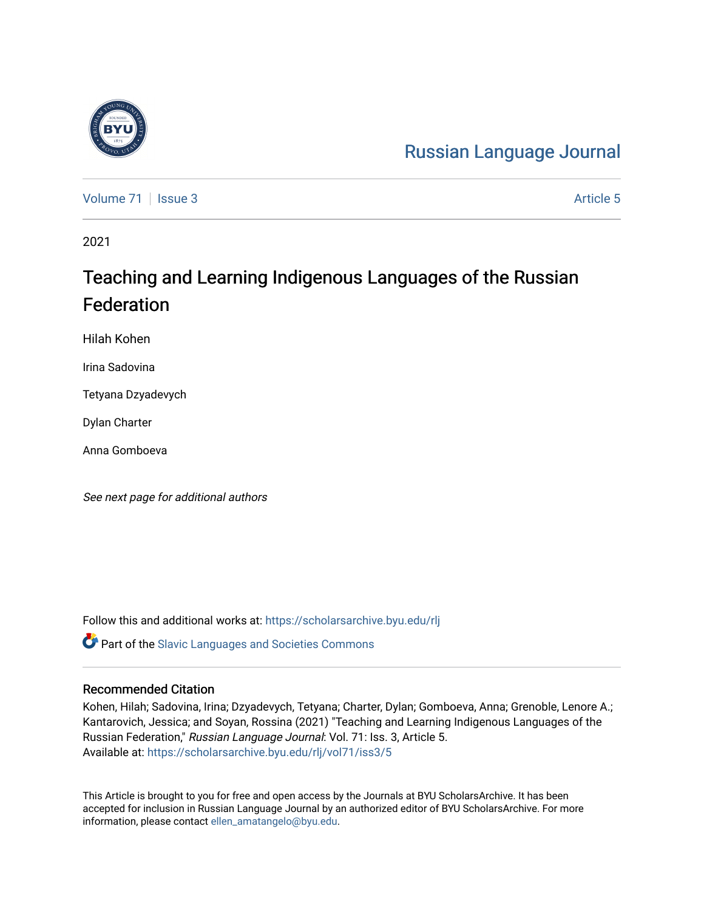# [Russian Language Journal](https://scholarsarchive.byu.edu/rlj)

[Volume 71](https://scholarsarchive.byu.edu/rlj/vol71) | [Issue 3](https://scholarsarchive.byu.edu/rlj/vol71/iss3) Article 5

2021

# Teaching and Learning Indigenous Languages of the Russian Federation

Hilah Kohen

Irina Sadovina

Tetyana Dzyadevych

Dylan Charter

Anna Gomboeva

See next page for additional authors

Follow this and additional works at: [https://scholarsarchive.byu.edu/rlj](https://scholarsarchive.byu.edu/rlj?utm_source=scholarsarchive.byu.edu%2Frlj%2Fvol71%2Fiss3%2F5&utm_medium=PDF&utm_campaign=PDFCoverPages)

**C** Part of the Slavic Languages and Societies Commons

#### Recommended Citation

Kohen, Hilah; Sadovina, Irina; Dzyadevych, Tetyana; Charter, Dylan; Gomboeva, Anna; Grenoble, Lenore A.; Kantarovich, Jessica; and Soyan, Rossina (2021) "Teaching and Learning Indigenous Languages of the Russian Federation," Russian Language Journal: Vol. 71: Iss. 3, Article 5. Available at: [https://scholarsarchive.byu.edu/rlj/vol71/iss3/5](https://scholarsarchive.byu.edu/rlj/vol71/iss3/5?utm_source=scholarsarchive.byu.edu%2Frlj%2Fvol71%2Fiss3%2F5&utm_medium=PDF&utm_campaign=PDFCoverPages) 

This Article is brought to you for free and open access by the Journals at BYU ScholarsArchive. It has been accepted for inclusion in Russian Language Journal by an authorized editor of BYU ScholarsArchive. For more information, please contact [ellen\\_amatangelo@byu.edu.](mailto:ellen_amatangelo@byu.edu)

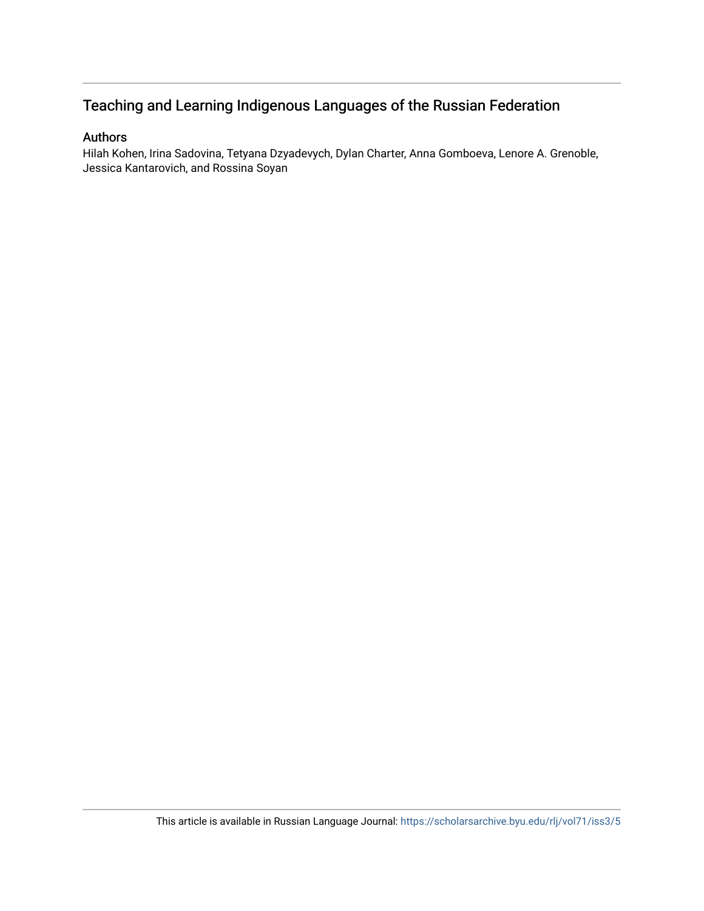## Teaching and Learning Indigenous Languages of the Russian Federation

### Authors

Hilah Kohen, Irina Sadovina, Tetyana Dzyadevych, Dylan Charter, Anna Gomboeva, Lenore A. Grenoble, Jessica Kantarovich, and Rossina Soyan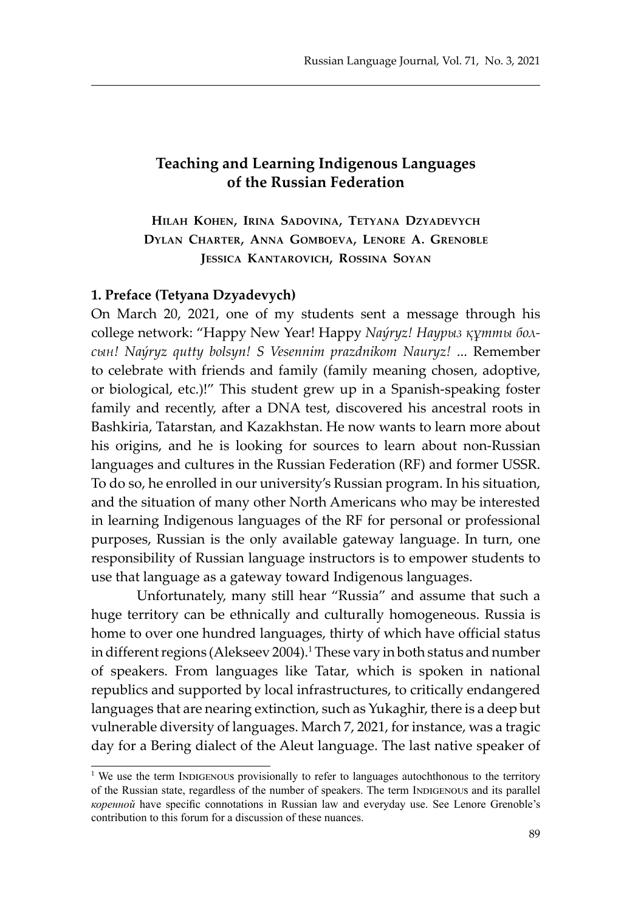### **Teaching and Learning Indigenous Languages of the Russian Federation**

**Hilah Kohen, Irina Sadovina, Tetyana Dzyadevych Dylan Charter, Anna Gomboeva, Lenore A. Grenoble Jessica Kantarovich, Rossina Soyan**

#### **1. Preface (Tetyana Dzyadevych)**

On March 20, 2021, one of my students sent a message through his college network: "Happy New Year! Happy *Naýryz! Наурыз құтты болсын! Naýryz qutty bolsyn! S Vesennim prazdnikom Nauryz!* ... Remember to celebrate with friends and family (family meaning chosen, adoptive, or biological, etc.)!" This student grew up in a Spanish-speaking foster family and recently, after a DNA test, discovered his ancestral roots in Bashkiria, Tatarstan, and Kazakhstan. He now wants to learn more about his origins, and he is looking for sources to learn about non-Russian languages and cultures in the Russian Federation (RF) and former USSR. To do so, he enrolled in our university's Russian program. In his situation, and the situation of many other North Americans who may be interested in learning Indigenous languages of the RF for personal or professional purposes, Russian is the only available gateway language. In turn, one responsibility of Russian language instructors is to empower students to use that language as a gateway toward Indigenous languages.

Unfortunately, many still hear "Russia" and assume that such a huge territory can be ethnically and culturally homogeneous. Russia is home to over one hundred languages, thirty of which have official status in different regions (Alekseev 2004).<sup>1</sup> These vary in both status and number of speakers. From languages like Tatar, which is spoken in national republics and supported by local infrastructures, to critically endangered languages that are nearing extinction, such as Yukaghir, there is a deep but vulnerable diversity of languages. March 7, 2021, for instance, was a tragic day for a Bering dialect of the Aleut language. The last native speaker of

<sup>&</sup>lt;sup>1</sup> We use the term INDIGENOUS provisionally to refer to languages autochthonous to the territory of the Russian state, regardless of the number of speakers. The term INDIGENOUS and its parallel *коренной* have specific connotations in Russian law and everyday use. See Lenore Grenoble's contribution to this forum for a discussion of these nuances.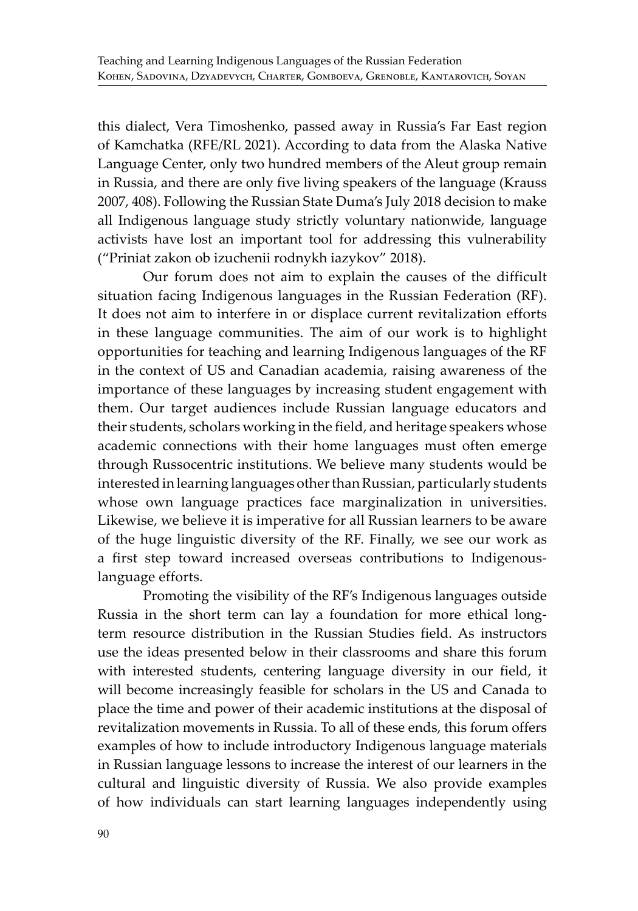this dialect, Vera Timoshenko, passed away in Russia's Far East region of Kamchatka (RFE/RL 2021). According to data from the Alaska Native Language Center, only two hundred members of the Aleut group remain in Russia, and there are only five living speakers of the language (Krauss 2007, 408). Following the Russian State Duma's July 2018 decision to make all Indigenous language study strictly voluntary nationwide, language activists have lost an important tool for addressing this vulnerability ("Priniat zakon ob izuchenii rodnykh iazykov" 2018).

Our forum does not aim to explain the causes of the difficult situation facing Indigenous languages in the Russian Federation (RF). It does not aim to interfere in or displace current revitalization efforts in these language communities. The aim of our work is to highlight opportunities for teaching and learning Indigenous languages of the RF in the context of US and Canadian academia, raising awareness of the importance of these languages by increasing student engagement with them. Our target audiences include Russian language educators and their students, scholars working in the field, and heritage speakers whose academic connections with their home languages must often emerge through Russocentric institutions. We believe many students would be interested in learning languages other than Russian, particularly students whose own language practices face marginalization in universities. Likewise, we believe it is imperative for all Russian learners to be aware of the huge linguistic diversity of the RF. Finally, we see our work as a first step toward increased overseas contributions to Indigenouslanguage efforts.

Promoting the visibility of the RF's Indigenous languages outside Russia in the short term can lay a foundation for more ethical longterm resource distribution in the Russian Studies field. As instructors use the ideas presented below in their classrooms and share this forum with interested students, centering language diversity in our field, it will become increasingly feasible for scholars in the US and Canada to place the time and power of their academic institutions at the disposal of revitalization movements in Russia. To all of these ends, this forum offers examples of how to include introductory Indigenous language materials in Russian language lessons to increase the interest of our learners in the cultural and linguistic diversity of Russia. We also provide examples of how individuals can start learning languages independently using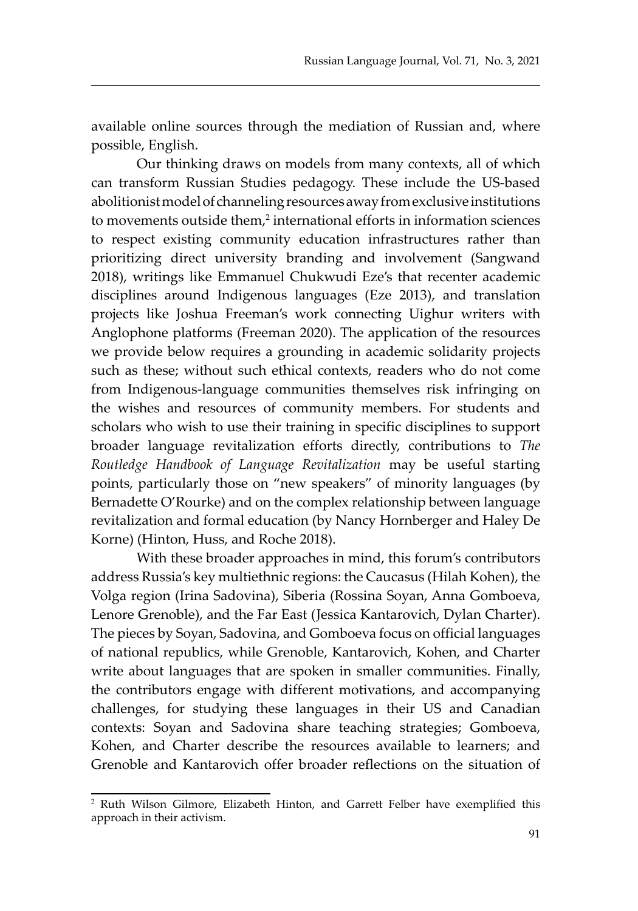available online sources through the mediation of Russian and, where possible, English.

Our thinking draws on models from many contexts, all of which can transform Russian Studies pedagogy. These include the US-based abolitionist model of channeling resources away from exclusive institutions to movements outside them,<sup>2</sup> international efforts in information sciences to respect existing community education infrastructures rather than prioritizing direct university branding and involvement (Sangwand 2018), writings like Emmanuel Chukwudi Eze's that recenter academic disciplines around Indigenous languages (Eze 2013), and translation projects like Joshua Freeman's work connecting Uighur writers with Anglophone platforms (Freeman 2020). The application of the resources we provide below requires a grounding in academic solidarity projects such as these; without such ethical contexts, readers who do not come from Indigenous-language communities themselves risk infringing on the wishes and resources of community members. For students and scholars who wish to use their training in specific disciplines to support broader language revitalization efforts directly, contributions to *The Routledge Handbook of Language Revitalization* may be useful starting points, particularly those on "new speakers" of minority languages (by Bernadette O'Rourke) and on the complex relationship between language revitalization and formal education (by Nancy Hornberger and Haley De Korne) (Hinton, Huss, and Roche 2018).

With these broader approaches in mind, this forum's contributors address Russia's key multiethnic regions: the Caucasus (Hilah Kohen), the Volga region (Irina Sadovina), Siberia (Rossina Soyan, Anna Gomboeva, Lenore Grenoble), and the Far East (Jessica Kantarovich, Dylan Charter). The pieces by Soyan, Sadovina, and Gomboeva focus on official languages of national republics, while Grenoble, Kantarovich, Kohen, and Charter write about languages that are spoken in smaller communities. Finally, the contributors engage with different motivations, and accompanying challenges, for studying these languages in their US and Canadian contexts: Soyan and Sadovina share teaching strategies; Gomboeva, Kohen, and Charter describe the resources available to learners; and Grenoble and Kantarovich offer broader reflections on the situation of

<sup>2</sup> Ruth Wilson Gilmore, Elizabeth Hinton, and Garrett Felber have exemplified this approach in their activism.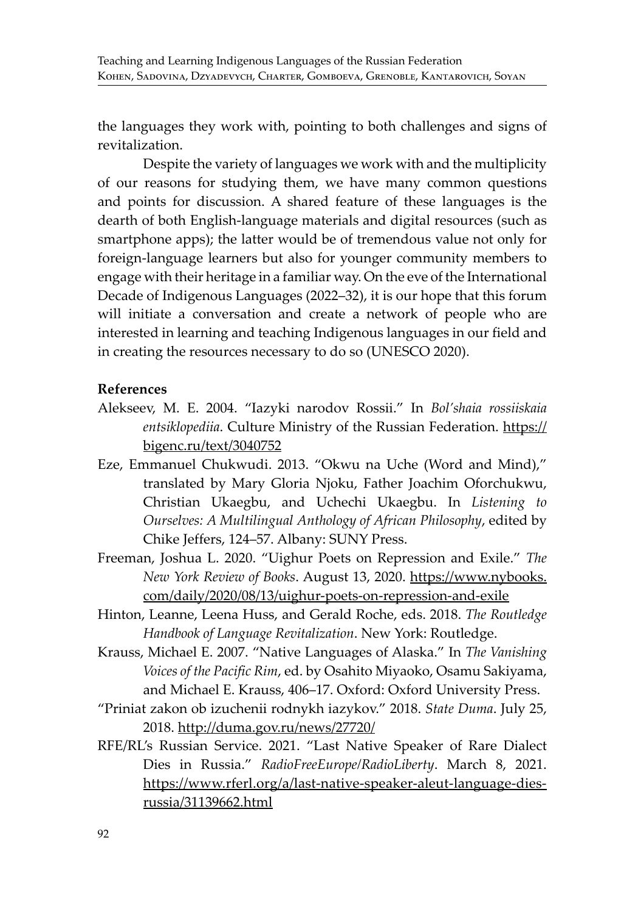the languages they work with, pointing to both challenges and signs of revitalization.

Despite the variety of languages we work with and the multiplicity of our reasons for studying them, we have many common questions and points for discussion. A shared feature of these languages is the dearth of both English-language materials and digital resources (such as smartphone apps); the latter would be of tremendous value not only for foreign-language learners but also for younger community members to engage with their heritage in a familiar way. On the eve of the International Decade of Indigenous Languages (2022–32), it is our hope that this forum will initiate a conversation and create a network of people who are interested in learning and teaching Indigenous languages in our field and in creating the resources necessary to do so (UNESCO 2020).

#### **References**

- Alekseev, M. E. 2004. "Iazyki narodov Rossii." In *Bol'shaia rossiiskaia*  entsiklopediia. Culture Ministry of the Russian Federation. https:// bigenc.ru/text/3040752
- Eze, Emmanuel Chukwudi. 2013. "Okwu na Uche (Word and Mind)," translated by Mary Gloria Njoku, Father Joachim Oforchukwu, Christian Ukaegbu, and Uchechi Ukaegbu. In *Listening to Ourselves: A Multilingual Anthology of African Philosophy*, edited by Chike Jeffers, 124–57. Albany: SUNY Press.
- Freeman, Joshua L. 2020. "Uighur Poets on Repression and Exile." *The New York Review of Books*. August 13, 2020. https://www.nybooks. com/daily/2020/08/13/uighur-poets-on-repression-and-exile
- Hinton, Leanne, Leena Huss, and Gerald Roche, eds. 2018. *The Routledge Handbook of Language Revitalization*. New York: Routledge.
- Krauss, Michael E. 2007. "Native Languages of Alaska." In *The Vanishing Voices of the Pacific Rim*, ed. by Osahito Miyaoko, Osamu Sakiyama, and Michael E. Krauss, 406–17. Oxford: Oxford University Press.
- "Priniat zakon ob izuchenii rodnykh iazykov." 2018. *State Duma*. July 25, 2018. http://duma.gov.ru/news/27720/
- RFE/RL's Russian Service. 2021. "Last Native Speaker of Rare Dialect Dies in Russia." *RadioFreeEurope/RadioLiberty*. March 8, 2021. https://www.rferl.org/a/last-native-speaker-aleut-language-diesrussia/31139662.html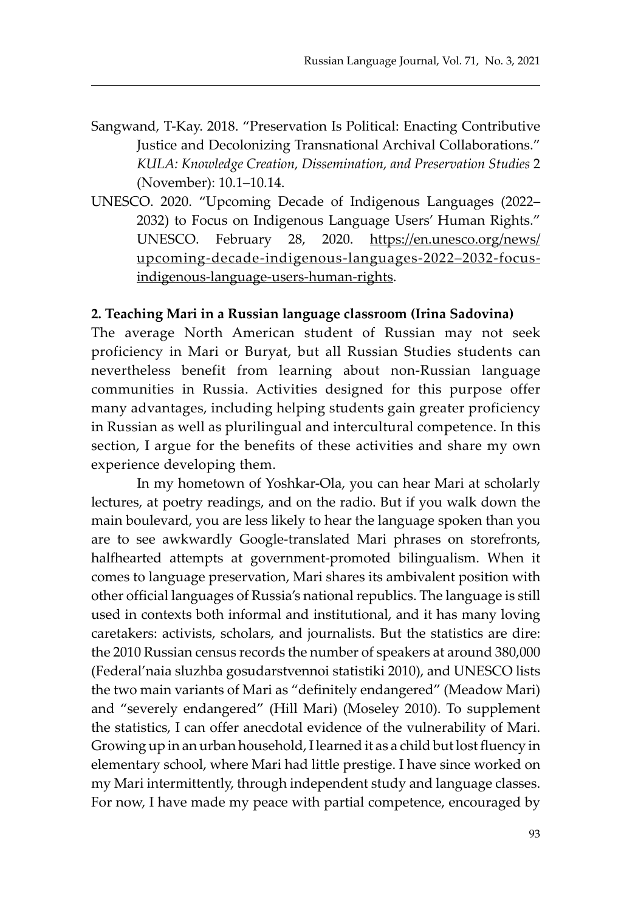- Sangwand, T-Kay. 2018. "Preservation Is Political: Enacting Contributive Justice and Decolonizing Transnational Archival Collaborations." *KULA: Knowledge Creation, Dissemination, and Preservation Studies* 2 (November): 10.1–10.14.
- UNESCO. 2020. "Upcoming Decade of Indigenous Languages (2022– 2032) to Focus on Indigenous Language Users' Human Rights." UNESCO. February 28, 2020. https://en.unesco.org/news/ upcoming-decade-indigenous-languages-2022–2032-focusindigenous-language-users-human-rights.

#### **2. Teaching Mari in a Russian language classroom (Irina Sadovina)**

The average North American student of Russian may not seek proficiency in Mari or Buryat, but all Russian Studies students can nevertheless benefit from learning about non-Russian language communities in Russia. Activities designed for this purpose offer many advantages, including helping students gain greater proficiency in Russian as well as plurilingual and intercultural competence. In this section, I argue for the benefits of these activities and share my own experience developing them.

In my hometown of Yoshkar-Ola, you can hear Mari at scholarly lectures, at poetry readings, and on the radio. But if you walk down the main boulevard, you are less likely to hear the language spoken than you are to see awkwardly Google-translated Mari phrases on storefronts, halfhearted attempts at government-promoted bilingualism. When it comes to language preservation, Mari shares its ambivalent position with other official languages of Russia's national republics. The language is still used in contexts both informal and institutional, and it has many loving caretakers: activists, scholars, and journalists. But the statistics are dire: the 2010 Russian census records the number of speakers at around 380,000 (Federal'naia sluzhba gosudarstvennoi statistiki 2010), and UNESCO lists the two main variants of Mari as "definitely endangered" (Meadow Mari) and "severely endangered" (Hill Mari) (Moseley 2010). To supplement the statistics, I can offer anecdotal evidence of the vulnerability of Mari. Growing up in an urban household, I learned it as a child but lost fluency in elementary school, where Mari had little prestige. I have since worked on my Mari intermittently, through independent study and language classes. For now, I have made my peace with partial competence, encouraged by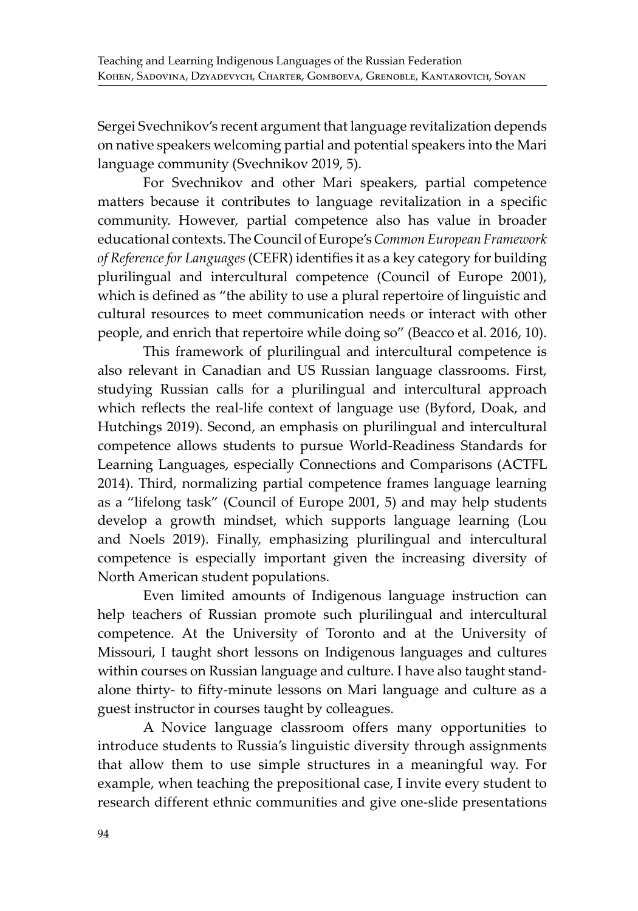Sergei Svechnikov's recent argument that language revitalization depends on native speakers welcoming partial and potential speakers into the Mari language community (Svechnikov 2019, 5).

For Svechnikov and other Mari speakers, partial competence matters because it contributes to language revitalization in a specific community. However, partial competence also has value in broader educational contexts. The Council of Europe's *Common European Framework of Reference for Languages* (CEFR) identifies it as a key category for building plurilingual and intercultural competence (Council of Europe 2001), which is defined as "the ability to use a plural repertoire of linguistic and cultural resources to meet communication needs or interact with other people, and enrich that repertoire while doing so" (Beacco et al. 2016, 10).

This framework of plurilingual and intercultural competence is also relevant in Canadian and US Russian language classrooms. First, studying Russian calls for a plurilingual and intercultural approach which reflects the real-life context of language use (Byford, Doak, and Hutchings 2019). Second, an emphasis on plurilingual and intercultural competence allows students to pursue World-Readiness Standards for Learning Languages, especially Connections and Comparisons (ACTFL 2014). Third, normalizing partial competence frames language learning as a "lifelong task" (Council of Europe 2001, 5) and may help students develop a growth mindset, which supports language learning (Lou and Noels 2019). Finally, emphasizing plurilingual and intercultural competence is especially important given the increasing diversity of North American student populations.

Even limited amounts of Indigenous language instruction can help teachers of Russian promote such plurilingual and intercultural competence. At the University of Toronto and at the University of Missouri, I taught short lessons on Indigenous languages and cultures within courses on Russian language and culture. I have also taught standalone thirty- to fifty-minute lessons on Mari language and culture as a guest instructor in courses taught by colleagues.

A Novice language classroom offers many opportunities to introduce students to Russia's linguistic diversity through assignments that allow them to use simple structures in a meaningful way. For example, when teaching the prepositional case, I invite every student to research different ethnic communities and give one-slide presentations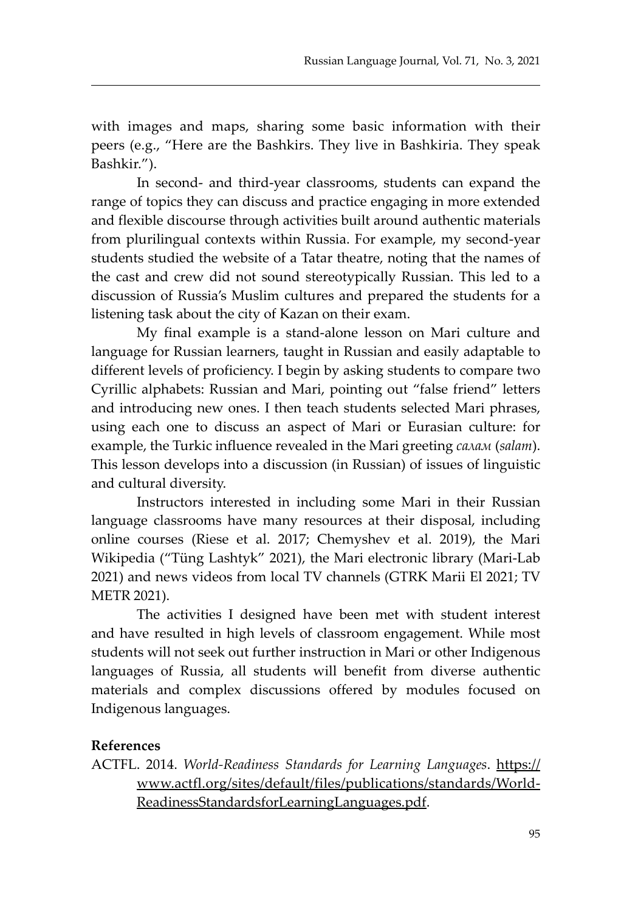with images and maps, sharing some basic information with their peers (e.g., "Here are the Bashkirs. They live in Bashkiria. They speak Bashkir.").

In second- and third-year classrooms, students can expand the range of topics they can discuss and practice engaging in more extended and flexible discourse through activities built around authentic materials from plurilingual contexts within Russia. For example, my second-year students studied the website of a Tatar theatre, noting that the names of the cast and crew did not sound stereotypically Russian. This led to a discussion of Russia's Muslim cultures and prepared the students for a listening task about the city of Kazan on their exam.

My final example is a stand-alone lesson on Mari culture and language for Russian learners, taught in Russian and easily adaptable to different levels of proficiency. I begin by asking students to compare two Cyrillic alphabets: Russian and Mari, pointing out "false friend" letters and introducing new ones. I then teach students selected Mari phrases, using each one to discuss an aspect of Mari or Eurasian culture: for example, the Turkic influence revealed in the Mari greeting *салам* (*salam*). This lesson develops into a discussion (in Russian) of issues of linguistic and cultural diversity.

Instructors interested in including some Mari in their Russian language classrooms have many resources at their disposal, including online courses (Riese et al. 2017; Chemyshev et al. 2019), the Mari Wikipedia ("Tüng Lashtyk" 2021), the Mari electronic library (Mari-Lab 2021) and news videos from local TV channels (GTRK Marii El 2021; TV METR 2021).

The activities I designed have been met with student interest and have resulted in high levels of classroom engagement. While most students will not seek out further instruction in Mari or other Indigenous languages of Russia, all students will benefit from diverse authentic materials and complex discussions offered by modules focused on Indigenous languages.

#### **References**

ACTFL. 2014. *World-Readiness Standards for Learning Languages*. https:// www.actfl.org/sites/default/files/publications/standards/World-ReadinessStandardsforLearningLanguages.pdf.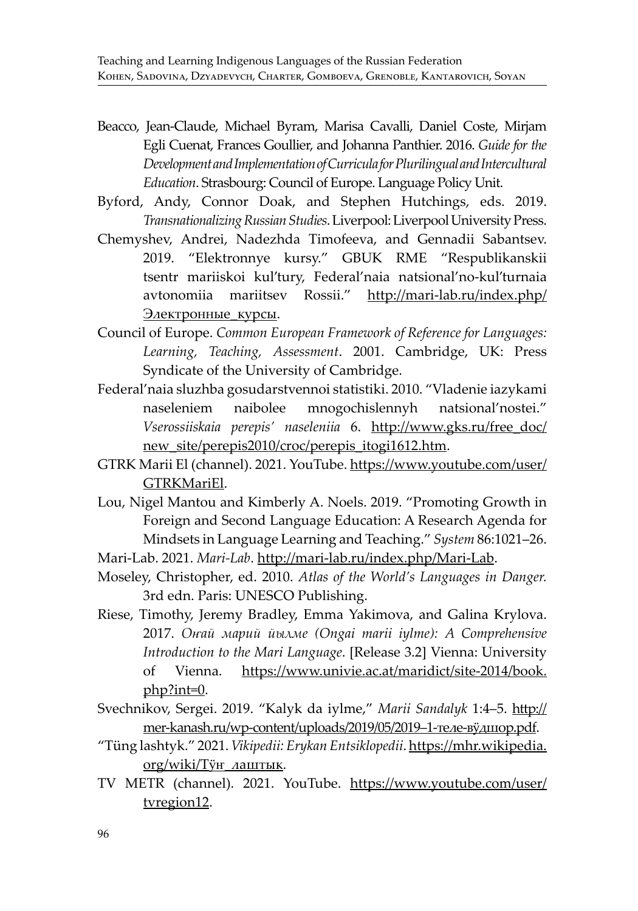- Beacco, Jean-Claude, Michael Byram, Marisa Cavalli, Daniel Coste, Mirjam Egli Cuenat, Frances Goullier, and Johanna Panthier. 2016. *Guide for the Development and Implementation of Curricula for Plurilingual and Intercultural Education*. Strasbourg: Council of Europe. Language Policy Unit.
- Byford, Andy, Connor Doak, and Stephen Hutchings, eds. 2019. *Transnationalizing Russian Studies*. Liverpool: Liverpool University Press.
- Chemyshev, Andrei, Nadezhda Timofeeva, and Gennadii Sabantsev. 2019. "Elektronnye kursy." GBUK RME "Respublikanskii tsentr mariiskoi kul'tury, Federal'naia natsional'no-kul'turnaia avtonomiia mariitsev Rossii." http://mari-lab.ru/index.php/ Электронные курсы.
- Council of Europe. *Common European Framework of Reference for Languages: Learning, Teaching, Assessment*. 2001. Cambridge, UK: Press Syndicate of the University of Cambridge.
- Federal'naia sluzhba gosudarstvennoi statistiki. 2010. "Vladenie iazykami naseleniem naibolee mnogochislennyh natsional'nostei." *Vserossiiskaia perepis' naseleniia* 6. http://www.gks.ru/free\_doc/ new site/perepis2010/croc/perepis itogi1612.htm.
- GTRK Marii El (channel). 2021. YouTube. https://www.youtube.com/user/ GTRKMariEl.
- Lou, Nigel Mantou and Kimberly A. Noels. 2019. "Promoting Growth in Foreign and Second Language Education: A Research Agenda for Mindsets in Language Learning and Teaching." *System* 86:1021–26.
- Mari-Lab. 2021. *Mari-Lab*. http://mari-lab.ru/index.php/Mari-Lab.
- Moseley, Christopher, ed. 2010. *Atlas of the World's Languages in Danger.*  3rd edn. Paris: UNESCO Publishing.
- Riese, Timothy, Jeremy Bradley, Emma Yakimova, and Galina Krylova. 2017. *Оҥай марий йылме (Ongai marii iylme): A Comprehensive Introduction to the Mari Language*. [Release 3.2] Vienna: University of Vienna. https://www.univie.ac.at/maridict/site-2014/book. php?int=0.
- Svechnikov, Sergei. 2019. "Kalyk da iylme," *Marii Sandalyk* 1:4–5. http:// mer-kanash.ru/wp-content/uploads/2019/05/2019–1-теле-вӱдшор.pdf.
- "Tüng lashtyk." 2021. *Vikipedii: Erykan Entsiklopedii*. https://mhr.wikipedia. org/wiki/Тÿн\_лаштык.
- TV METR (channel). 2021. YouTube. https://www.youtube.com/user/ tvregion12.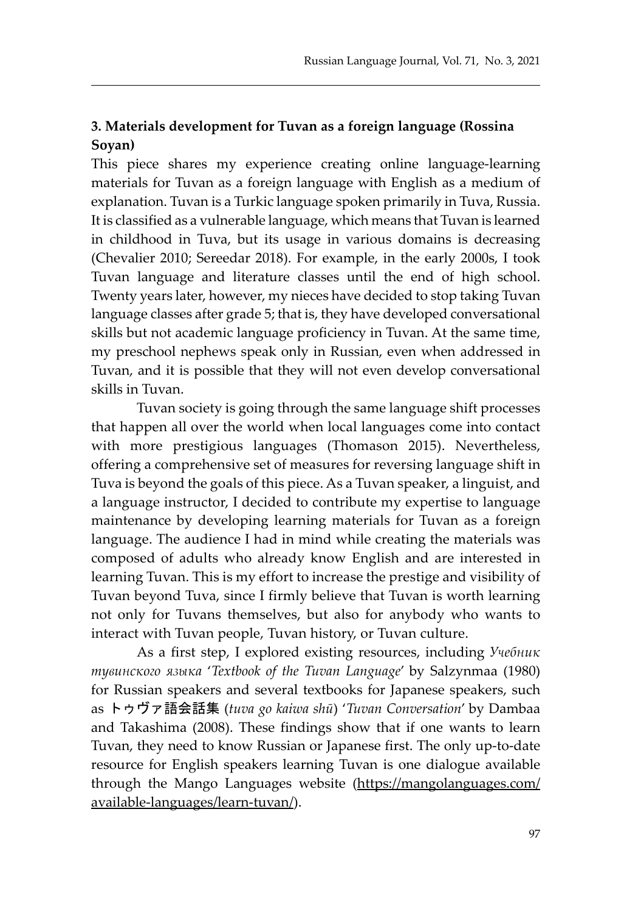### **3. Materials development for Tuvan as a foreign language (Rossina Soyan)**

This piece shares my experience creating online language-learning materials for Tuvan as a foreign language with English as a medium of explanation. Tuvan is a Turkic language spoken primarily in Tuva, Russia. It is classified as a vulnerable language, which means that Tuvan is learned in childhood in Tuva, but its usage in various domains is decreasing (Chevalier 2010; Sereedar 2018). For example, in the early 2000s, I took Tuvan language and literature classes until the end of high school. Twenty years later, however, my nieces have decided to stop taking Tuvan language classes after grade 5; that is, they have developed conversational skills but not academic language proficiency in Tuvan. At the same time, my preschool nephews speak only in Russian, even when addressed in Tuvan, and it is possible that they will not even develop conversational skills in Tuvan.

Tuvan society is going through the same language shift processes that happen all over the world when local languages come into contact with more prestigious languages (Thomason 2015). Nevertheless, offering a comprehensive set of measures for reversing language shift in Tuva is beyond the goals of this piece. As a Tuvan speaker, a linguist, and a language instructor, I decided to contribute my expertise to language maintenance by developing learning materials for Tuvan as a foreign language. The audience I had in mind while creating the materials was composed of adults who already know English and are interested in learning Tuvan. This is my effort to increase the prestige and visibility of Tuvan beyond Tuva, since I firmly believe that Tuvan is worth learning not only for Tuvans themselves, but also for anybody who wants to interact with Tuvan people, Tuvan history, or Tuvan culture.

As a first step, I explored existing resources, including *Учебник тувинского языка* '*Textbook of the Tuvan Language*' by Salzynmaa (1980) for Russian speakers and several textbooks for Japanese speakers, such as トゥヴァ語会話集 (*tuva go kaiwa shū*) '*Tuvan Conversation*' by Dambaa and Takashima (2008). These findings show that if one wants to learn Tuvan, they need to know Russian or Japanese first. The only up-to-date resource for English speakers learning Tuvan is one dialogue available through the Mango Languages website (https://mangolanguages.com/ available-languages/learn-tuvan/).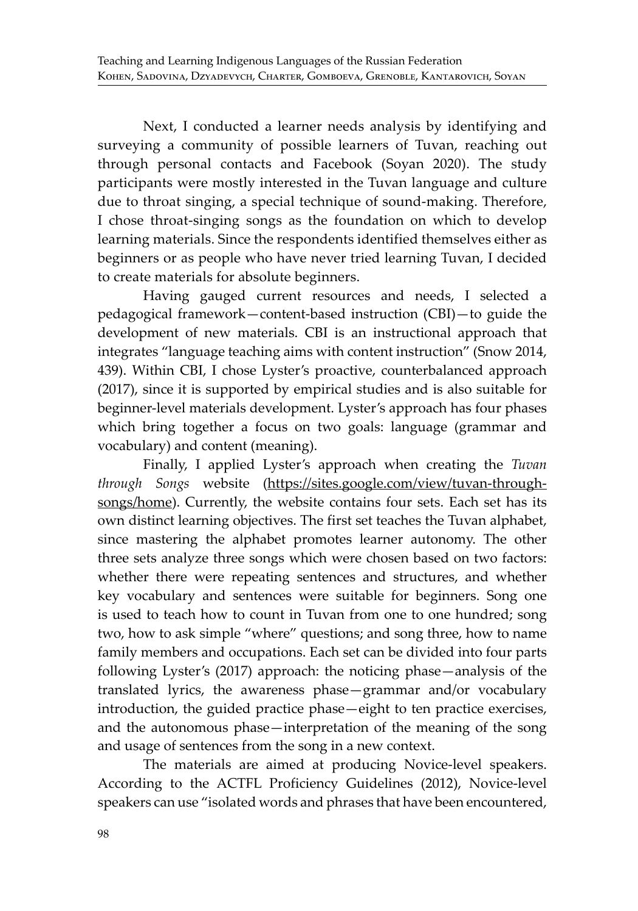Next, I conducted a learner needs analysis by identifying and surveying a community of possible learners of Tuvan, reaching out through personal contacts and Facebook (Soyan 2020). The study participants were mostly interested in the Tuvan language and culture due to throat singing, a special technique of sound-making. Therefore, I chose throat-singing songs as the foundation on which to develop learning materials. Since the respondents identified themselves either as beginners or as people who have never tried learning Tuvan, I decided to create materials for absolute beginners.

Having gauged current resources and needs, I selected a pedagogical framework—content-based instruction (CBI)—to guide the development of new materials. CBI is an instructional approach that integrates "language teaching aims with content instruction" (Snow 2014, 439). Within CBI, I chose Lyster's proactive, counterbalanced approach (2017), since it is supported by empirical studies and is also suitable for beginner-level materials development. Lyster's approach has four phases which bring together a focus on two goals: language (grammar and vocabulary) and content (meaning).

Finally, I applied Lyster's approach when creating the *Tuvan through Songs* website (https://sites.google.com/view/tuvan-throughsongs/home). Currently, the website contains four sets. Each set has its own distinct learning objectives. The first set teaches the Tuvan alphabet, since mastering the alphabet promotes learner autonomy. The other three sets analyze three songs which were chosen based on two factors: whether there were repeating sentences and structures, and whether key vocabulary and sentences were suitable for beginners. Song one is used to teach how to count in Tuvan from one to one hundred; song two, how to ask simple "where" questions; and song three, how to name family members and occupations. Each set can be divided into four parts following Lyster's (2017) approach: the noticing phase—analysis of the translated lyrics, the awareness phase—grammar and/or vocabulary introduction, the guided practice phase—eight to ten practice exercises, and the autonomous phase—interpretation of the meaning of the song and usage of sentences from the song in a new context.

The materials are aimed at producing Novice-level speakers. According to the ACTFL Proficiency Guidelines (2012), Novice-level speakers can use "isolated words and phrases that have been encountered,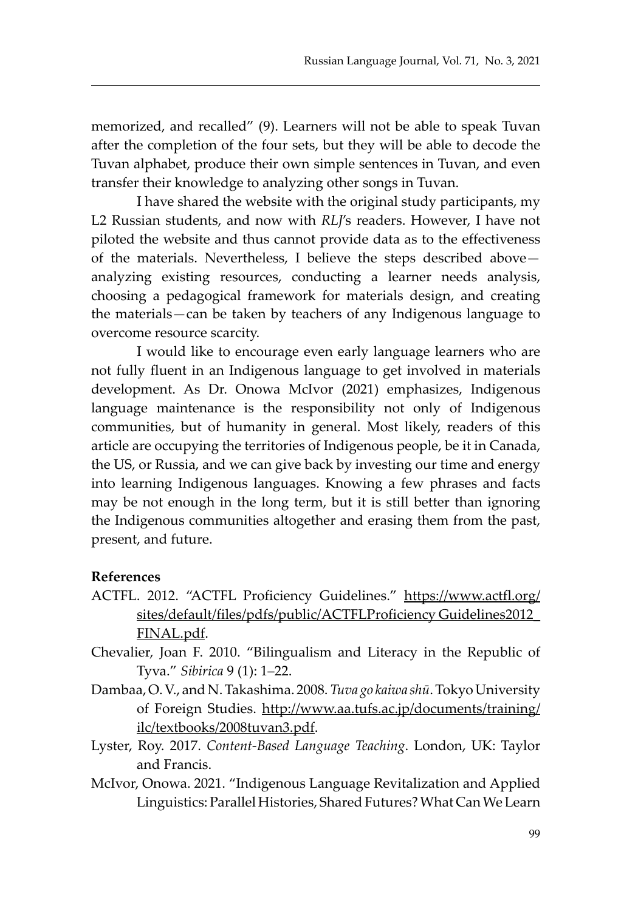memorized, and recalled" (9). Learners will not be able to speak Tuvan after the completion of the four sets, but they will be able to decode the Tuvan alphabet, produce their own simple sentences in Tuvan, and even transfer their knowledge to analyzing other songs in Tuvan.

I have shared the website with the original study participants, my L2 Russian students, and now with *RLJ*'s readers. However, I have not piloted the website and thus cannot provide data as to the effectiveness of the materials. Nevertheless, I believe the steps described above analyzing existing resources, conducting a learner needs analysis, choosing a pedagogical framework for materials design, and creating the materials—can be taken by teachers of any Indigenous language to overcome resource scarcity.

I would like to encourage even early language learners who are not fully fluent in an Indigenous language to get involved in materials development. As Dr. Onowa McIvor (2021) emphasizes, Indigenous language maintenance is the responsibility not only of Indigenous communities, but of humanity in general. Most likely, readers of this article are occupying the territories of Indigenous people, be it in Canada, the US, or Russia, and we can give back by investing our time and energy into learning Indigenous languages. Knowing a few phrases and facts may be not enough in the long term, but it is still better than ignoring the Indigenous communities altogether and erasing them from the past, present, and future.

#### **References**

- ACTFL. 2012. "ACTFL Proficiency Guidelines." https://www.actfl.org/ sites/default/files/pdfs/public/ACTFLProficiency Guidelines2012\_ FINAL.pdf.
- Chevalier, Joan F. 2010. "Bilingualism and Literacy in the Republic of Tyva." *Sibirica* 9 (1): 1–22.
- Dambaa, O. V., and N. Takashima. 2008. *Tuva go kaiwa shū*. Tokyo University of Foreign Studies. http://www.aa.tufs.ac.jp/documents/training/ ilc/textbooks/2008tuvan3.pdf.
- Lyster, Roy. 2017. *Content-Based Language Teaching*. London, UK: Taylor and Francis.
- McIvor, Onowa. 2021. "Indigenous Language Revitalization and Applied Linguistics: Parallel Histories, Shared Futures? What Can We Learn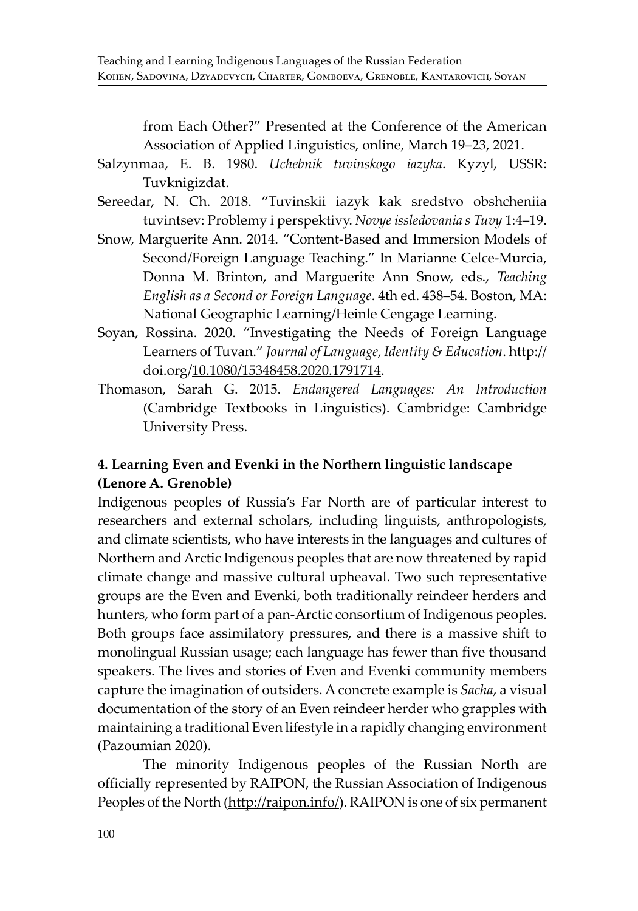from Each Other?" Presented at the Conference of the American Association of Applied Linguistics, online, March 19–23, 2021.

- Salzynmaa, E. B. 1980. *Uchebnik tuvinskogo iazyka*. Kyzyl, USSR: Tuvknigizdat.
- Sereedar, N. Ch. 2018. "Tuvinskii iazyk kak sredstvo obshcheniia tuvintsev: Problemy i perspektivy. *Novye issledovania s Tuvy* 1:4–19.
- Snow, Marguerite Ann. 2014. "Content-Based and Immersion Models of Second/Foreign Language Teaching." In Marianne Celce-Murcia, Donna M. Brinton, and Marguerite Ann Snow, eds., *Teaching English as a Second or Foreign Language*. 4th ed. 438–54. Boston, MA: National Geographic Learning/Heinle Cengage Learning.
- Soyan, Rossina. 2020. "Investigating the Needs of Foreign Language Learners of Tuvan." *Journal of Language, Identity & Education*. http:// doi.org/10.1080/15348458.2020.1791714.
- Thomason, Sarah G. 2015. *Endangered Languages: An Introduction* (Cambridge Textbooks in Linguistics). Cambridge: Cambridge University Press.

### **4. Learning Even and Evenki in the Northern linguistic landscape (Lenore A. Grenoble)**

Indigenous peoples of Russia's Far North are of particular interest to researchers and external scholars, including linguists, anthropologists, and climate scientists, who have interests in the languages and cultures of Northern and Arctic Indigenous peoples that are now threatened by rapid climate change and massive cultural upheaval. Two such representative groups are the Even and Evenki, both traditionally reindeer herders and hunters, who form part of a pan-Arctic consortium of Indigenous peoples. Both groups face assimilatory pressures, and there is a massive shift to monolingual Russian usage; each language has fewer than five thousand speakers. The lives and stories of Even and Evenki community members capture the imagination of outsiders. A concrete example is *Sacha*, a visual documentation of the story of an Even reindeer herder who grapples with maintaining a traditional Even lifestyle in a rapidly changing environment (Pazoumian 2020).

The minority Indigenous peoples of the Russian North are officially represented by RAIPON, the Russian Association of Indigenous Peoples of the North (http://raipon.info/). RAIPON is one of six permanent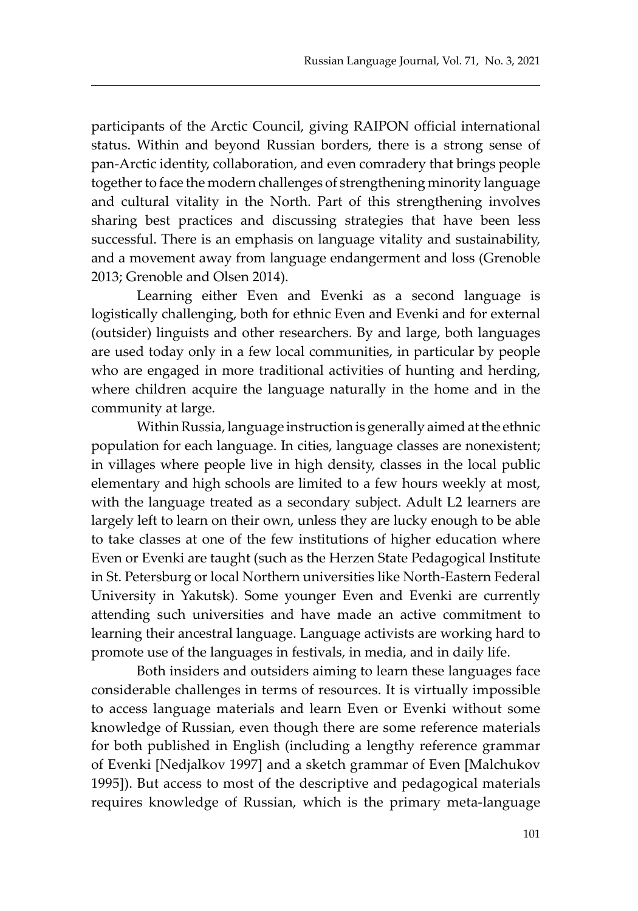participants of the Arctic Council, giving RAIPON official international status. Within and beyond Russian borders, there is a strong sense of pan-Arctic identity, collaboration, and even comradery that brings people together to face the modern challenges of strengthening minority language and cultural vitality in the North. Part of this strengthening involves sharing best practices and discussing strategies that have been less successful. There is an emphasis on language vitality and sustainability, and a movement away from language endangerment and loss (Grenoble 2013; Grenoble and Olsen 2014).

Learning either Even and Evenki as a second language is logistically challenging, both for ethnic Even and Evenki and for external (outsider) linguists and other researchers. By and large, both languages are used today only in a few local communities, in particular by people who are engaged in more traditional activities of hunting and herding, where children acquire the language naturally in the home and in the community at large.

Within Russia, language instruction is generally aimed at the ethnic population for each language. In cities, language classes are nonexistent; in villages where people live in high density, classes in the local public elementary and high schools are limited to a few hours weekly at most, with the language treated as a secondary subject. Adult L2 learners are largely left to learn on their own, unless they are lucky enough to be able to take classes at one of the few institutions of higher education where Even or Evenki are taught (such as the Herzen State Pedagogical Institute in St. Petersburg or local Northern universities like North-Eastern Federal University in Yakutsk). Some younger Even and Evenki are currently attending such universities and have made an active commitment to learning their ancestral language. Language activists are working hard to promote use of the languages in festivals, in media, and in daily life.

Both insiders and outsiders aiming to learn these languages face considerable challenges in terms of resources. It is virtually impossible to access language materials and learn Even or Evenki without some knowledge of Russian, even though there are some reference materials for both published in English (including a lengthy reference grammar of Evenki [Nedjalkov 1997] and a sketch grammar of Even [Malchukov 1995]). But access to most of the descriptive and pedagogical materials requires knowledge of Russian, which is the primary meta-language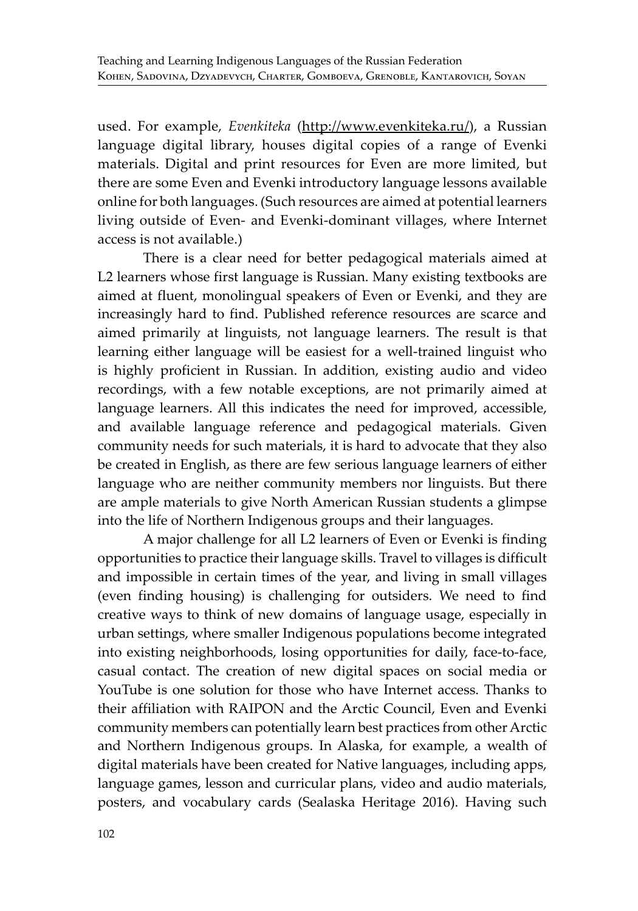used. For example, *Evenkiteka* (http://www.evenkiteka.ru/), a Russian language digital library, houses digital copies of a range of Evenki materials. Digital and print resources for Even are more limited, but there are some Even and Evenki introductory language lessons available online for both languages. (Such resources are aimed at potential learners living outside of Even- and Evenki-dominant villages, where Internet access is not available.)

There is a clear need for better pedagogical materials aimed at L2 learners whose first language is Russian. Many existing textbooks are aimed at fluent, monolingual speakers of Even or Evenki, and they are increasingly hard to find. Published reference resources are scarce and aimed primarily at linguists, not language learners. The result is that learning either language will be easiest for a well-trained linguist who is highly proficient in Russian. In addition, existing audio and video recordings, with a few notable exceptions, are not primarily aimed at language learners. All this indicates the need for improved, accessible, and available language reference and pedagogical materials. Given community needs for such materials, it is hard to advocate that they also be created in English, as there are few serious language learners of either language who are neither community members nor linguists. But there are ample materials to give North American Russian students a glimpse into the life of Northern Indigenous groups and their languages.

A major challenge for all L2 learners of Even or Evenki is finding opportunities to practice their language skills. Travel to villages is difficult and impossible in certain times of the year, and living in small villages (even finding housing) is challenging for outsiders. We need to find creative ways to think of new domains of language usage, especially in urban settings, where smaller Indigenous populations become integrated into existing neighborhoods, losing opportunities for daily, face-to-face, casual contact. The creation of new digital spaces on social media or YouTube is one solution for those who have Internet access. Thanks to their affiliation with RAIPON and the Arctic Council, Even and Evenki community members can potentially learn best practices from other Arctic and Northern Indigenous groups. In Alaska, for example, a wealth of digital materials have been created for Native languages, including apps, language games, lesson and curricular plans, video and audio materials, posters, and vocabulary cards (Sealaska Heritage 2016). Having such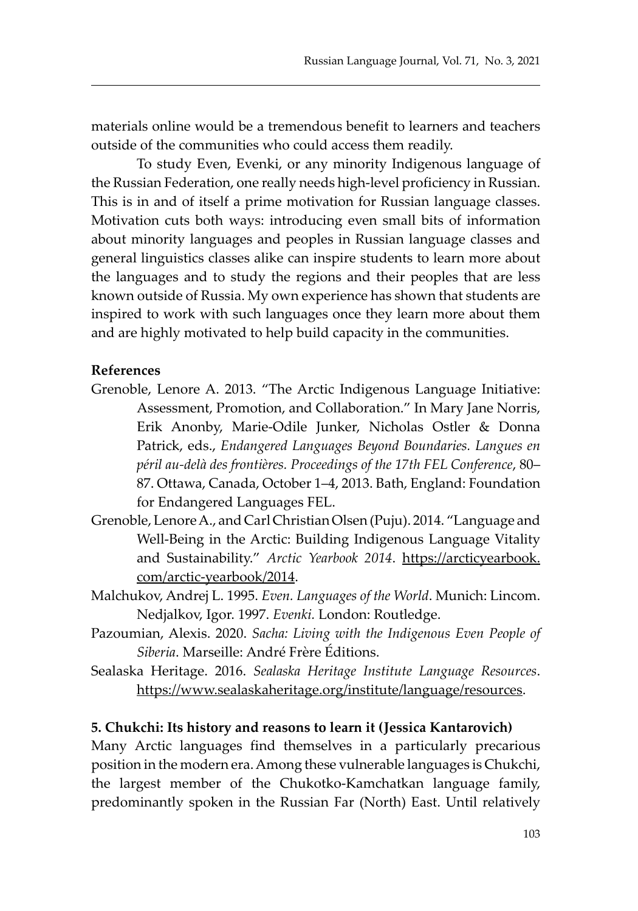materials online would be a tremendous benefit to learners and teachers outside of the communities who could access them readily.

To study Even, Evenki, or any minority Indigenous language of the Russian Federation, one really needs high-level proficiency in Russian. This is in and of itself a prime motivation for Russian language classes. Motivation cuts both ways: introducing even small bits of information about minority languages and peoples in Russian language classes and general linguistics classes alike can inspire students to learn more about the languages and to study the regions and their peoples that are less known outside of Russia. My own experience has shown that students are inspired to work with such languages once they learn more about them and are highly motivated to help build capacity in the communities.

#### **References**

- Grenoble, Lenore A. 2013. "The Arctic Indigenous Language Initiative: Assessment, Promotion, and Collaboration." In Mary Jane Norris, Erik Anonby, Marie-Odile Junker, Nicholas Ostler & Donna Patrick, eds., *Endangered Languages Beyond Boundaries. Langues en péril au-delà des frontières. Proceedings of the 17th FEL Conference*, 80– 87. Ottawa, Canada, October 1–4, 2013. Bath, England: Foundation for Endangered Languages FEL.
- Grenoble, Lenore A., and Carl Christian Olsen (Puju). 2014. "Language and Well-Being in the Arctic: Building Indigenous Language Vitality and Sustainability." *Arctic Yearbook 2014*. https://arcticyearbook. com/arctic-yearbook/2014.
- Malchukov, Andrej L. 1995. *Even. Languages of the World*. Munich: Lincom. Nedjalkov, Igor. 1997. *Evenki.* London: Routledge.
- Pazoumian, Alexis. 2020. *Sacha: Living with the Indigenous Even People of Siberia*. Marseille: André Frère Éditions.
- Sealaska Heritage. 2016. *Sealaska Heritage Institute Language Resources*. https://www.sealaskaheritage.org/institute/language/resources.

#### **5. Chukchi: Its history and reasons to learn it (Jessica Kantarovich)**

Many Arctic languages find themselves in a particularly precarious position in the modern era. Among these vulnerable languages is Chukchi, the largest member of the Chukotko-Kamchatkan language family, predominantly spoken in the Russian Far (North) East. Until relatively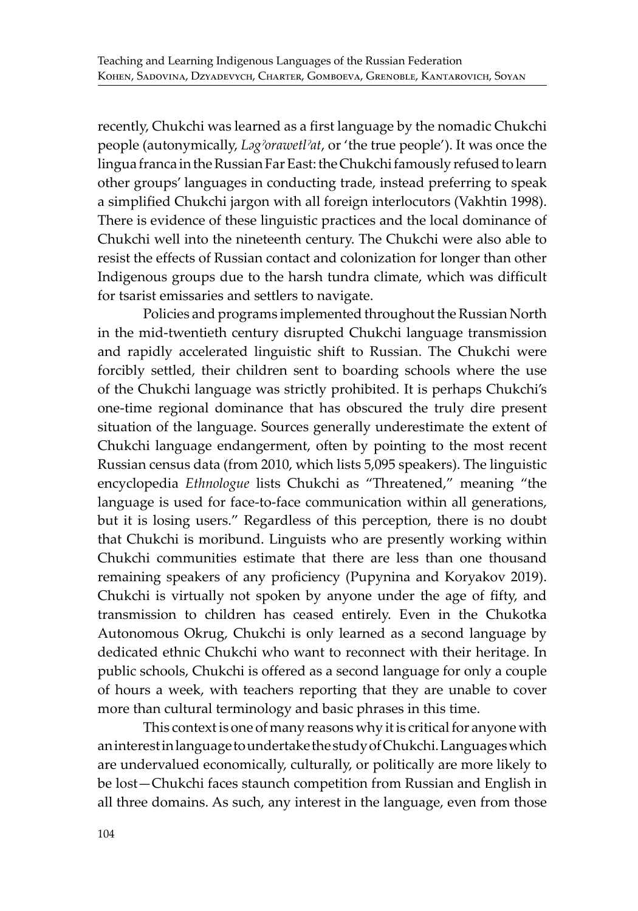recently, Chukchi was learned as a first language by the nomadic Chukchi people (autonymically, *Ləgˀorawetlˀat*, or 'the true people'). It was once the lingua franca in the Russian Far East: the Chukchi famously refused to learn other groups' languages in conducting trade, instead preferring to speak a simplified Chukchi jargon with all foreign interlocutors (Vakhtin 1998). There is evidence of these linguistic practices and the local dominance of Chukchi well into the nineteenth century. The Chukchi were also able to resist the effects of Russian contact and colonization for longer than other Indigenous groups due to the harsh tundra climate, which was difficult for tsarist emissaries and settlers to navigate.

Policies and programs implemented throughout the Russian North in the mid-twentieth century disrupted Chukchi language transmission and rapidly accelerated linguistic shift to Russian. The Chukchi were forcibly settled, their children sent to boarding schools where the use of the Chukchi language was strictly prohibited. It is perhaps Chukchi's one-time regional dominance that has obscured the truly dire present situation of the language. Sources generally underestimate the extent of Chukchi language endangerment, often by pointing to the most recent Russian census data (from 2010, which lists 5,095 speakers). The linguistic encyclopedia *Ethnologue* lists Chukchi as "Threatened," meaning "the language is used for face-to-face communication within all generations, but it is losing users." Regardless of this perception, there is no doubt that Chukchi is moribund. Linguists who are presently working within Chukchi communities estimate that there are less than one thousand remaining speakers of any proficiency (Pupynina and Koryakov 2019). Chukchi is virtually not spoken by anyone under the age of fifty, and transmission to children has ceased entirely. Even in the Chukotka Autonomous Okrug, Chukchi is only learned as a second language by dedicated ethnic Chukchi who want to reconnect with their heritage. In public schools, Chukchi is offered as a second language for only a couple of hours a week, with teachers reporting that they are unable to cover more than cultural terminology and basic phrases in this time.

This context is one of many reasons why it is critical for anyone with an interest in language to undertake the study of Chukchi. Languages which are undervalued economically, culturally, or politically are more likely to be lost—Chukchi faces staunch competition from Russian and English in all three domains. As such, any interest in the language, even from those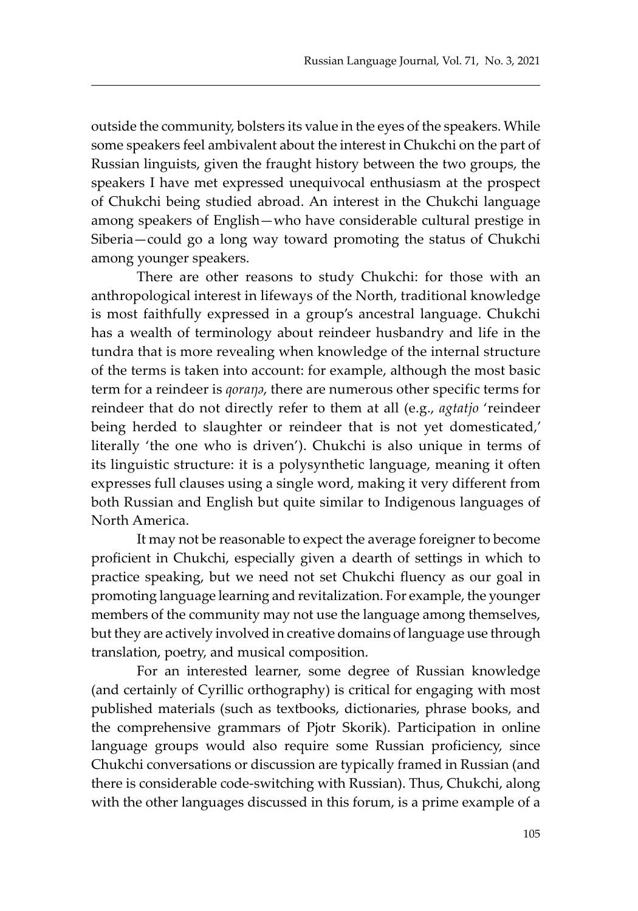outside the community, bolsters its value in the eyes of the speakers. While some speakers feel ambivalent about the interest in Chukchi on the part of Russian linguists, given the fraught history between the two groups, the speakers I have met expressed unequivocal enthusiasm at the prospect of Chukchi being studied abroad. An interest in the Chukchi language among speakers of English—who have considerable cultural prestige in Siberia—could go a long way toward promoting the status of Chukchi among younger speakers.

There are other reasons to study Chukchi: for those with an anthropological interest in lifeways of the North, traditional knowledge is most faithfully expressed in a group's ancestral language. Chukchi has a wealth of terminology about reindeer husbandry and life in the tundra that is more revealing when knowledge of the internal structure of the terms is taken into account: for example, although the most basic term for a reindeer is *qoraŋə*, there are numerous other specific terms for reindeer that do not directly refer to them at all (e.g., *agtatjo* 'reindeer being herded to slaughter or reindeer that is not yet domesticated,' literally 'the one who is driven'). Chukchi is also unique in terms of its linguistic structure: it is a polysynthetic language, meaning it often expresses full clauses using a single word, making it very different from both Russian and English but quite similar to Indigenous languages of North America.

It may not be reasonable to expect the average foreigner to become proficient in Chukchi, especially given a dearth of settings in which to practice speaking, but we need not set Chukchi fluency as our goal in promoting language learning and revitalization. For example, the younger members of the community may not use the language among themselves, but they are actively involved in creative domains of language use through translation, poetry, and musical composition.

For an interested learner, some degree of Russian knowledge (and certainly of Cyrillic orthography) is critical for engaging with most published materials (such as textbooks, dictionaries, phrase books, and the comprehensive grammars of Pjotr Skorik). Participation in online language groups would also require some Russian proficiency, since Chukchi conversations or discussion are typically framed in Russian (and there is considerable code-switching with Russian). Thus, Chukchi, along with the other languages discussed in this forum, is a prime example of a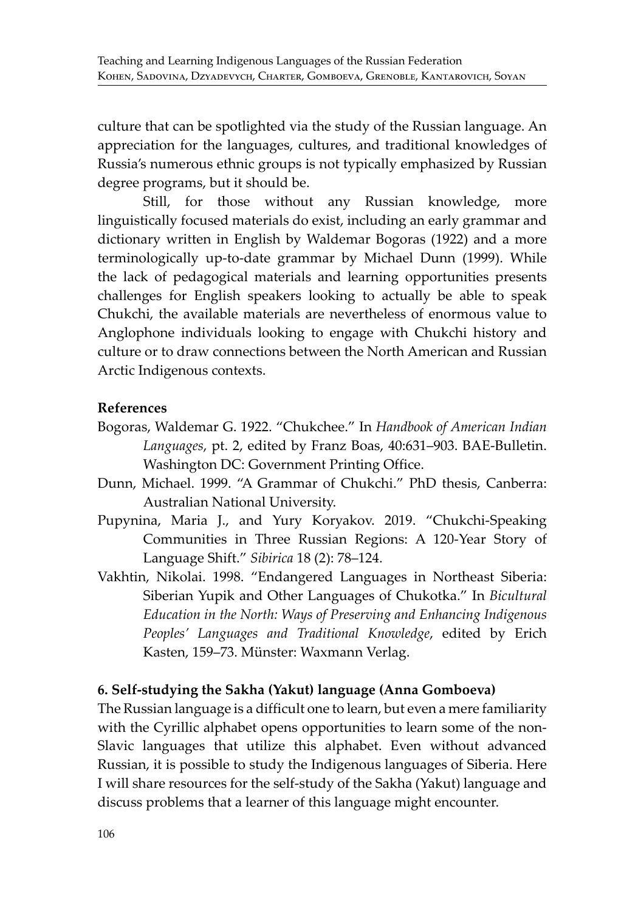culture that can be spotlighted via the study of the Russian language. An appreciation for the languages, cultures, and traditional knowledges of Russia's numerous ethnic groups is not typically emphasized by Russian degree programs, but it should be.

Still, for those without any Russian knowledge, more linguistically focused materials do exist, including an early grammar and dictionary written in English by Waldemar Bogoras (1922) and a more terminologically up-to-date grammar by Michael Dunn (1999). While the lack of pedagogical materials and learning opportunities presents challenges for English speakers looking to actually be able to speak Chukchi, the available materials are nevertheless of enormous value to Anglophone individuals looking to engage with Chukchi history and culture or to draw connections between the North American and Russian Arctic Indigenous contexts.

### **References**

- Bogoras, Waldemar G. 1922. "Chukchee." In *Handbook of American Indian Languages*, pt. 2, edited by Franz Boas, 40:631–903. BAE-Bulletin. Washington DC: Government Printing Office.
- Dunn, Michael. 1999. "A Grammar of Chukchi." PhD thesis, Canberra: Australian National University.
- Pupynina, Maria J., and Yury Koryakov. 2019. "Chukchi-Speaking Communities in Three Russian Regions: A 120-Year Story of Language Shift." *Sibirica* 18 (2): 78–124.
- Vakhtin, Nikolai. 1998. "Endangered Languages in Northeast Siberia: Siberian Yupik and Other Languages of Chukotka." In *Bicultural Education in the North: Ways of Preserving and Enhancing Indigenous Peoples' Languages and Traditional Knowledge*, edited by Erich Kasten, 159–73. Münster: Waxmann Verlag.

### **6. Self-studying the Sakha (Yakut) language (Anna Gomboeva)**

The Russian language is a difficult one to learn, but even a mere familiarity with the Cyrillic alphabet opens opportunities to learn some of the non-Slavic languages that utilize this alphabet. Even without advanced Russian, it is possible to study the Indigenous languages of Siberia. Here I will share resources for the self-study of the Sakha (Yakut) language and discuss problems that a learner of this language might encounter.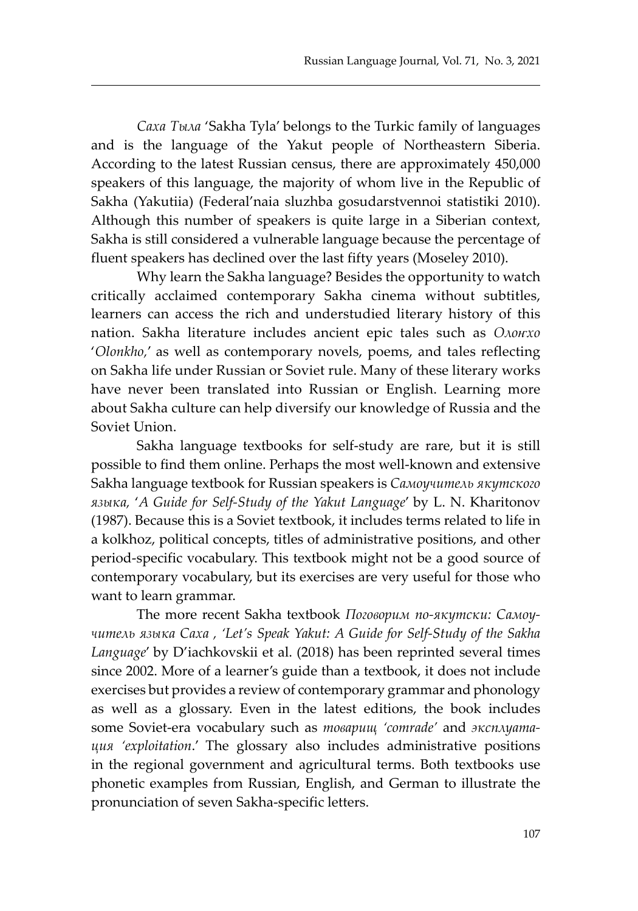*Саха Тыла* 'Sakha Tyla' belongs to the Turkic family of languages and is the language of the Yakut people of Northeastern Siberia. According to the latest Russian census, there are approximately 450,000 speakers of this language, the majority of whom live in the Republic of Sakha (Yakutiia) (Federal'naia sluzhba gosudarstvennoi statistiki 2010). Although this number of speakers is quite large in a Siberian context, Sakha is still considered a vulnerable language because the percentage of fluent speakers has declined over the last fifty years (Moseley 2010).

Why learn the Sakha language? Besides the opportunity to watch critically acclaimed contemporary Sakha cinema without subtitles, learners can access the rich and understudied literary history of this nation. Sakha literature includes ancient epic tales such as *Олоҥхо* '*Olonkho,*' as well as contemporary novels, poems, and tales reflecting on Sakha life under Russian or Soviet rule. Many of these literary works have never been translated into Russian or English. Learning more about Sakha culture can help diversify our knowledge of Russia and the Soviet Union.

Sakha language textbooks for self-study are rare, but it is still possible to find them online. Perhaps the most well-known and extensive Sakha language textbook for Russian speakers is *Самоучитель якутского языка,* '*A Guide for Self-Study of the Yakut Language*' by L. N. Kharitonov (1987). Because this is a Soviet textbook, it includes terms related to life in a kolkhoz, political concepts, titles of administrative positions, and other period-specific vocabulary. This textbook might not be a good source of contemporary vocabulary, but its exercises are very useful for those who want to learn grammar.

The more recent Sakha textbook *Поговорим по-якутски: Самоучитель языка Саха , 'Let's Speak Yakut: A Guide for Self-Study of the Sakha Language*' by D'iachkovskii et al. (2018) has been reprinted several times since 2002. More of a learner's guide than a textbook, it does not include exercises but provides a review of contemporary grammar and phonology as well as a glossary. Even in the latest editions, the book includes some Soviet-era vocabulary such as *товарищ 'comrade'* and *эксплуатация 'exploitation*.' The glossary also includes administrative positions in the regional government and agricultural terms. Both textbooks use phonetic examples from Russian, English, and German to illustrate the pronunciation of seven Sakha-specific letters.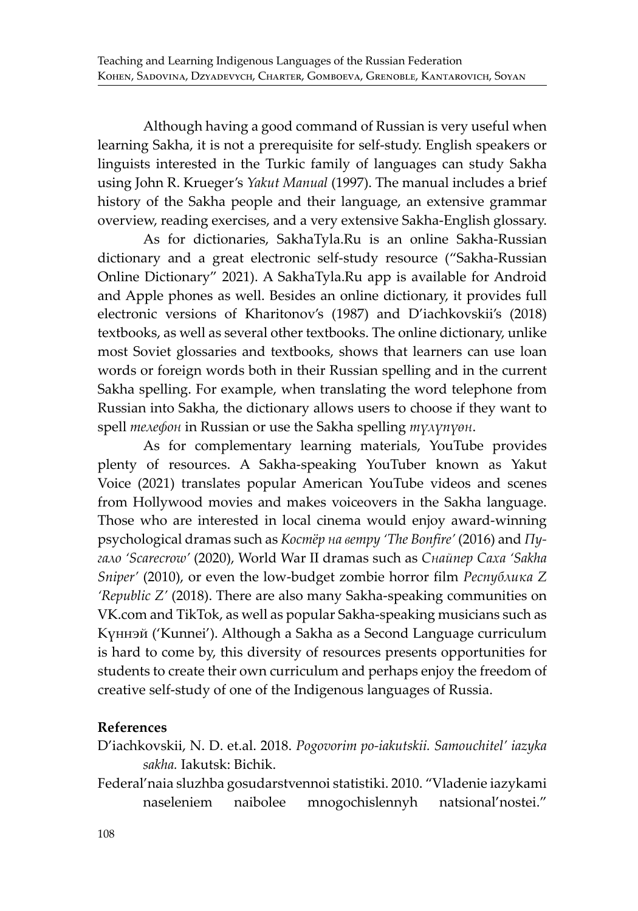Although having a good command of Russian is very useful when learning Sakha, it is not a prerequisite for self-study. English speakers or linguists interested in the Turkic family of languages can study Sakha using John R. Krueger's *Yakut Manual* (1997). The manual includes a brief history of the Sakha people and their language, an extensive grammar overview, reading exercises, and a very extensive Sakha-English glossary.

As for dictionaries, SakhaTyla.Ru is an online Sakha-Russian dictionary and a great electronic self-study resource ("Sakha-Russian Online Dictionary" 2021). A SakhaTyla.Ru app is available for Android and Apple phones as well. Besides an online dictionary, it provides full electronic versions of Kharitonov's (1987) and D'iachkovskii's (2018) textbooks, as well as several other textbooks. The online dictionary, unlike most Soviet glossaries and textbooks, shows that learners can use loan words or foreign words both in their Russian spelling and in the current Sakha spelling. For example, when translating the word telephone from Russian into Sakha, the dictionary allows users to choose if they want to spell *телефон* in Russian or use the Sakha spelling *түлүпүөн*.

As for complementary learning materials, YouTube provides plenty of resources. A Sakha-speaking YouTuber known as Yakut Voice (2021) translates popular American YouTube videos and scenes from Hollywood movies and makes voiceovers in the Sakha language. Those who are interested in local cinema would enjoy award-winning psychological dramas such as *Костёр на ветру 'The Bonfire'* (2016) and *Пугало 'Scarecrow'* (2020), World War II dramas such as *Снайпер Саха 'Sakha Sniper'* (2010), or even the low-budget zombie horror film *Республика Z 'Republic Z'* (2018). There are also many Sakha-speaking communities on VK.com and TikTok, as well as popular Sakha-speaking musicians such as Күннэй ('Kunnei'). Although a Sakha as a Second Language curriculum is hard to come by, this diversity of resources presents opportunities for students to create their own curriculum and perhaps enjoy the freedom of creative self-study of one of the Indigenous languages of Russia.

### **References**

D'iachkovskii, N. D. et.al. 2018. *Pogovorim po-iakutskii. Samouchitel' iazyka sakha.* Iakutsk: Bichik.

Federal'naia sluzhba gosudarstvennoi statistiki. 2010. "Vladenie iazykami naseleniem naibolee mnogochislennyh natsional'nostei."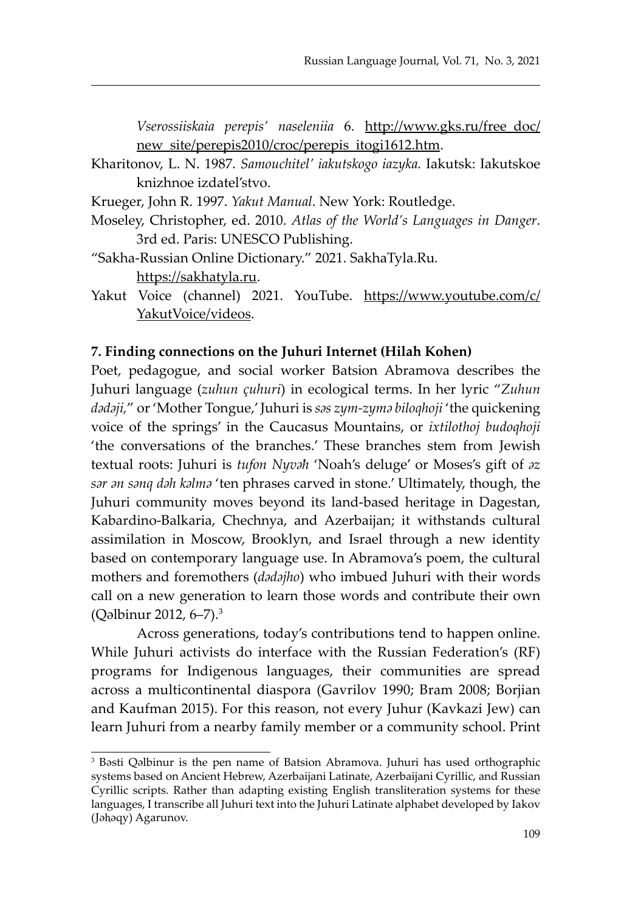*Vserossiiskaia perepis' naseleniia* 6. http://www.gks.ru/free\_doc/ new site/perepis2010/croc/perepis itogi1612.htm.

- Kharitonov, L. N. 1987. *Samouchitel' iakutskogo iazyka.* Iakutsk: Iakutskoe knizhnoe izdatel'stvo.
- Krueger, John R. 1997. *Yakut Manual*. New York: Routledge.
- Moseley, Christopher, ed. 2010. *Atlas of the World's Languages in Danger*. 3rd ed. Paris: UNESCO Publishing.
- "Sakha-Russian Online Dictionary." 2021. SakhaTyla.Ru*.*  https://sakhatyla.ru.
- Yakut Voice (channel) 2021. YouTube. https://www.youtube.com/c/ YakutVoice/videos.

### **7. Finding connections on the Juhuri Internet (Hilah Kohen)**

Poet, pedagogue, and social worker Batsion Abramova describes the Juhuri language (*zuhun çuhuri*) in ecological terms. In her lyric "*Zuhun dədəji,*" or 'Mother Tongue,' Juhuri is *səs zym-zymə biloqhoji* 'the quickening voice of the springs' in the Caucasus Mountains, or *ixtilothoj budoqhoji*  'the conversations of the branches.' These branches stem from Jewish textual roots: Juhuri is *tufon Nyvəħ* 'Noah's deluge' or Moses's gift of *əz sər ən sənq dəh kəlmə* 'ten phrases carved in stone.' Ultimately, though, the Juhuri community moves beyond its land-based heritage in Dagestan, Kabardino-Balkaria, Chechnya, and Azerbaijan; it withstands cultural assimilation in Moscow, Brooklyn, and Israel through a new identity based on contemporary language use. In Abramova's poem, the cultural mothers and foremothers (*dədəjho*) who imbued Juhuri with their words call on a new generation to learn those words and contribute their own (Qəlbinur 2012, 6–7).<sup>3</sup>

Across generations, today's contributions tend to happen online. While Juhuri activists do interface with the Russian Federation's (RF) programs for Indigenous languages, their communities are spread across a multicontinental diaspora (Gavrilov 1990; Bram 2008; Borjian and Kaufman 2015). For this reason, not every Juhur (Kavkazi Jew) can learn Juhuri from a nearby family member or a community school. Print

<sup>3</sup> Bəsti Qəlbinur is the pen name of Batsion Abramova. Juhuri has used orthographic systems based on Ancient Hebrew, Azerbaijani Latinate, Azerbaijani Cyrillic, and Russian Cyrillic scripts. Rather than adapting existing English transliteration systems for these languages, I transcribe all Juhuri text into the Juhuri Latinate alphabet developed by Iakov (Jəhəqy) Agarunov.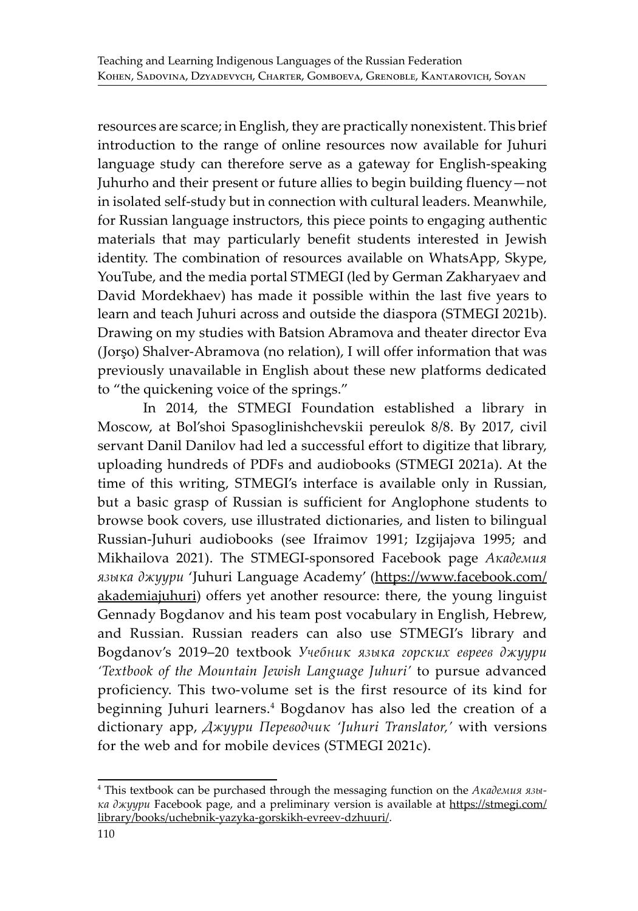resources are scarce; in English, they are practically nonexistent. This brief introduction to the range of online resources now available for Juhuri language study can therefore serve as a gateway for English-speaking Juhurho and their present or future allies to begin building fluency—not in isolated self-study but in connection with cultural leaders. Meanwhile, for Russian language instructors, this piece points to engaging authentic materials that may particularly benefit students interested in Jewish identity. The combination of resources available on WhatsApp, Skype, YouTube, and the media portal STMEGI (led by German Zakharyaev and David Mordekhaev) has made it possible within the last five years to learn and teach Juhuri across and outside the diaspora (STMEGI 2021b). Drawing on my studies with Batsion Abramova and theater director Eva (Jorşo) Shalver-Abramova (no relation), I will offer information that was previously unavailable in English about these new platforms dedicated to "the quickening voice of the springs."

In 2014, the STMEGI Foundation established a library in Moscow, at Bol'shoi Spasoglinishchevskii pereulok 8/8. By 2017, civil servant Danil Danilov had led a successful effort to digitize that library, uploading hundreds of PDFs and audiobooks (STMEGI 2021a). At the time of this writing, STMEGI's interface is available only in Russian, but a basic grasp of Russian is sufficient for Anglophone students to browse book covers, use illustrated dictionaries, and listen to bilingual Russian-Juhuri audiobooks (see Ifraimov 1991; Izgijajəva 1995; and Mikhailova 2021). The STMEGI-sponsored Facebook page *Академия языка джуури* 'Juhuri Language Academy' (https://www.facebook.com/ akademiajuhuri) offers yet another resource: there, the young linguist Gennady Bogdanov and his team post vocabulary in English, Hebrew, and Russian. Russian readers can also use STMEGI's library and Bogdanov's 2019–20 textbook *Учебник языка горских евреев джуури 'Textbook of the Mountain Jewish Language Juhuri'* to pursue advanced proficiency. This two-volume set is the first resource of its kind for beginning Juhuri learners.4 Bogdanov has also led the creation of a dictionary app, *Джуури Переводчик 'Juhuri Translator,'* with versions for the web and for mobile devices (STMEGI 2021c).

<sup>4</sup> This textbook can be purchased through the messaging function on the *Академия языка джуури* Facebook page, and a preliminary version is available at https://stmegi.com/ library/books/uchebnik-yazyka-gorskikh-evreev-dzhuuri/.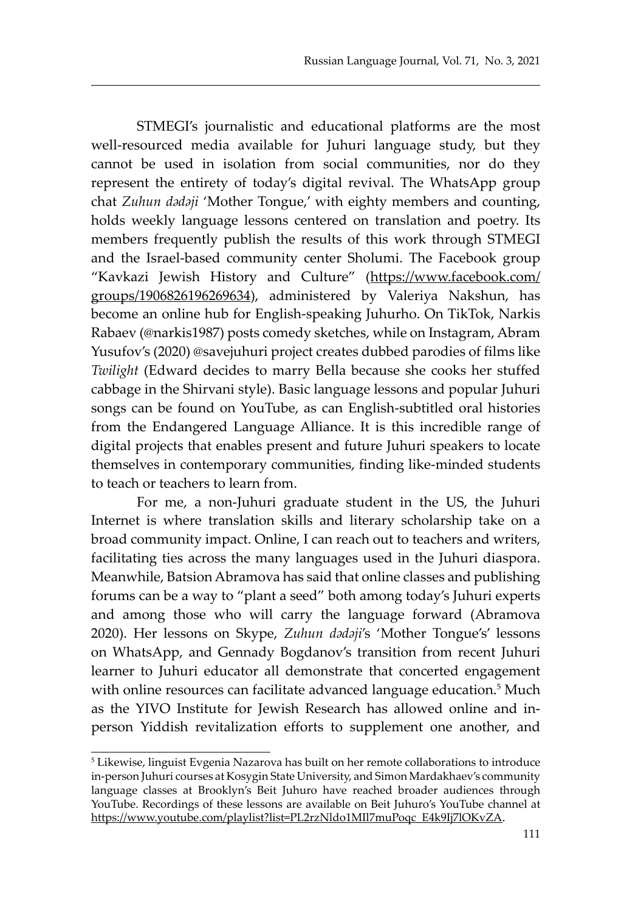STMEGI's journalistic and educational platforms are the most well-resourced media available for Juhuri language study, but they cannot be used in isolation from social communities, nor do they represent the entirety of today's digital revival. The WhatsApp group chat *Zuhun dədəji* 'Mother Tongue,' with eighty members and counting, holds weekly language lessons centered on translation and poetry. Its members frequently publish the results of this work through STMEGI and the Israel-based community center Sholumi. The Facebook group "Kavkazi Jewish History and Culture" (https://www.facebook.com/ groups/1906826196269634), administered by Valeriya Nakshun, has become an online hub for English-speaking Juhurho. On TikTok, Narkis Rabaev (@narkis1987) posts comedy sketches, while on Instagram, Abram Yusufov's (2020) @savejuhuri project creates dubbed parodies of films like *Twilight* (Edward decides to marry Bella because she cooks her stuffed cabbage in the Shirvani style). Basic language lessons and popular Juhuri songs can be found on YouTube, as can English-subtitled oral histories from the Endangered Language Alliance. It is this incredible range of digital projects that enables present and future Juhuri speakers to locate themselves in contemporary communities, finding like-minded students to teach or teachers to learn from.

For me, a non-Juhuri graduate student in the US, the Juhuri Internet is where translation skills and literary scholarship take on a broad community impact. Online, I can reach out to teachers and writers, facilitating ties across the many languages used in the Juhuri diaspora. Meanwhile, Batsion Abramova has said that online classes and publishing forums can be a way to "plant a seed" both among today's Juhuri experts and among those who will carry the language forward (Abramova 2020). Her lessons on Skype, *Zuhun dədəji*'s 'Mother Tongue's' lessons on WhatsApp, and Gennady Bogdanov's transition from recent Juhuri learner to Juhuri educator all demonstrate that concerted engagement with online resources can facilitate advanced language education.<sup>5</sup> Much as the YIVO Institute for Jewish Research has allowed online and inperson Yiddish revitalization efforts to supplement one another, and

<sup>5</sup> Likewise, linguist Evgenia Nazarova has built on her remote collaborations to introduce in-person Juhuri courses at Kosygin State University, and Simon Mardakhaev's community language classes at Brooklyn's Beit Juhuro have reached broader audiences through YouTube. Recordings of these lessons are available on Beit Juhuro's YouTube channel at https://www.youtube.com/playlist?list=PL2rzNldo1MIl7muPoqc\_E4k9Ij7lOKvZA.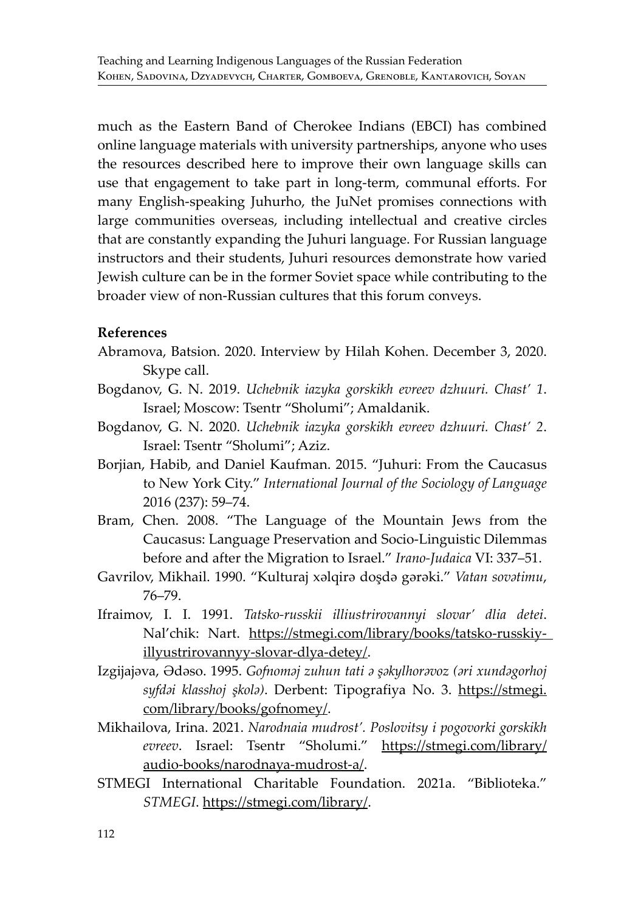much as the Eastern Band of Cherokee Indians (EBCI) has combined online language materials with university partnerships, anyone who uses the resources described here to improve their own language skills can use that engagement to take part in long-term, communal efforts. For many English-speaking Juhurho, the JuNet promises connections with large communities overseas, including intellectual and creative circles that are constantly expanding the Juhuri language. For Russian language instructors and their students, Juhuri resources demonstrate how varied Jewish culture can be in the former Soviet space while contributing to the broader view of non-Russian cultures that this forum conveys.

### **References**

- Abramova, Batsion. 2020. Interview by Hilah Kohen. December 3, 2020. Skype call.
- Bogdanov, G. N. 2019. *Uchebnik iazyka gorskikh evreev dzhuuri. Chast' 1*. Israel; Moscow: Tsentr "Sholumi"; Amaldanik.
- Bogdanov, G. N. 2020. *Uchebnik iazyka gorskikh evreev dzhuuri. Chast' 2*. Israel: Tsentr "Sholumi"; Aziz.
- Borjian, Habib, and Daniel Kaufman. 2015. "Juhuri: From the Caucasus to New York City." *International Journal of the Sociology of Language* 2016 (237): 59–74.
- Bram, Chen. 2008. "The Language of the Mountain Jews from the Caucasus: Language Preservation and Socio-Linguistic Dilemmas before and after the Migration to Israel." *Irano-Judaica* VI: 337–51.
- Gavrilov, Mikhail. 1990. "Kulturaj xəlqirə doşdə gərəki." *Vatan sovətimu*, 76–79.
- Ifraimov, I. I. 1991. *Tatsko-russkii illiustrirovannyi slovar' dlia detei*. Nal'chik: Nart. https://stmegi.com/library/books/tatsko-russkiyillyustrirovannyy-slovar-dlya-detey/.
- Izgijajəva, Ədəso. 1995. *Gofnoməj zuhun tati ə şəkylhorəvoz (əri xundəgorhoj syfdəi klasshoj şkolə)*. Derbent: Tipografiya No. 3. https://stmegi. com/library/books/gofnomey/.
- Mikhailova, Irina. 2021. *Narodnaia mudrost'. Poslovitsy i pogovorki gorskikh evreev*. Israel: Tsentr "Sholumi." https://stmegi.com/library/ audio-books/narodnaya-mudrost-a/.
- STMEGI International Charitable Foundation. 2021a. "Biblioteka." *STMEGI*. https://stmegi.com/library/.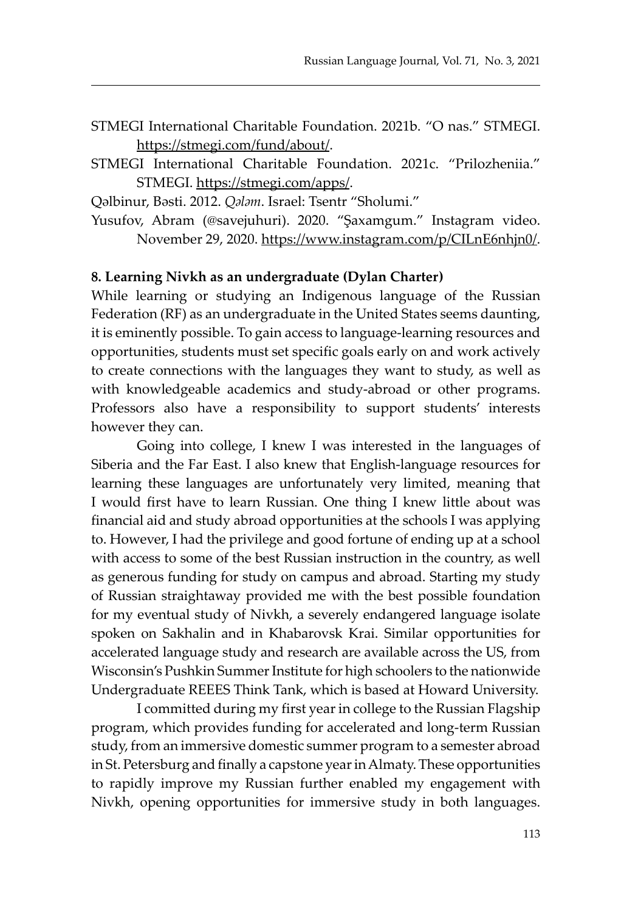- STMEGI International Charitable Foundation. 2021b. "O nas." STMEGI. https://stmegi.com/fund/about/.
- STMEGI International Charitable Foundation. 2021c. "Prilozheniia." STMEGI. https://stmegi.com/apps/.

Qəlbinur, Bəsti. 2012. *Qələm*. Israel: Tsentr "Sholumi."

Yusufov, Abram (@savejuhuri). 2020. "Şaxamgum." Instagram video. November 29, 2020. https://www.instagram.com/p/CILnE6nhjn0/.

#### **8. Learning Nivkh as an undergraduate (Dylan Charter)**

While learning or studying an Indigenous language of the Russian Federation (RF) as an undergraduate in the United States seems daunting, it is eminently possible. To gain access to language-learning resources and opportunities, students must set specific goals early on and work actively to create connections with the languages they want to study, as well as with knowledgeable academics and study-abroad or other programs. Professors also have a responsibility to support students' interests however they can.

Going into college, I knew I was interested in the languages of Siberia and the Far East. I also knew that English-language resources for learning these languages are unfortunately very limited, meaning that I would first have to learn Russian. One thing I knew little about was financial aid and study abroad opportunities at the schools I was applying to. However, I had the privilege and good fortune of ending up at a school with access to some of the best Russian instruction in the country, as well as generous funding for study on campus and abroad. Starting my study of Russian straightaway provided me with the best possible foundation for my eventual study of Nivkh, a severely endangered language isolate spoken on Sakhalin and in Khabarovsk Krai. Similar opportunities for accelerated language study and research are available across the US, from Wisconsin's Pushkin Summer Institute for high schoolers to the nationwide Undergraduate REEES Think Tank, which is based at Howard University.

I committed during my first year in college to the Russian Flagship program, which provides funding for accelerated and long-term Russian study, from an immersive domestic summer program to a semester abroad in St. Petersburg and finally a capstone year in Almaty. These opportunities to rapidly improve my Russian further enabled my engagement with Nivkh, opening opportunities for immersive study in both languages.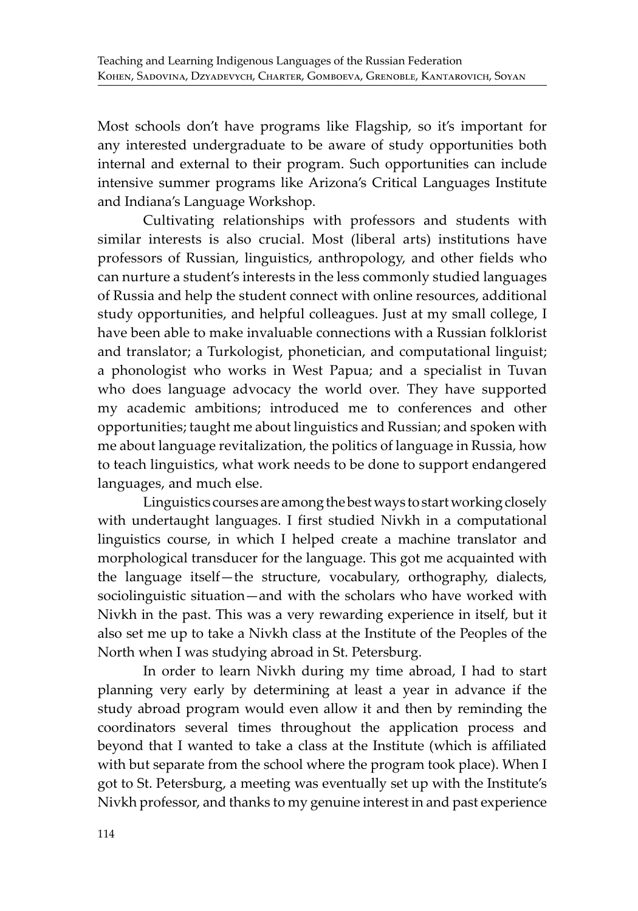Most schools don't have programs like Flagship, so it's important for any interested undergraduate to be aware of study opportunities both internal and external to their program. Such opportunities can include intensive summer programs like Arizona's Critical Languages Institute and Indiana's Language Workshop.

Cultivating relationships with professors and students with similar interests is also crucial. Most (liberal arts) institutions have professors of Russian, linguistics, anthropology, and other fields who can nurture a student's interests in the less commonly studied languages of Russia and help the student connect with online resources, additional study opportunities, and helpful colleagues. Just at my small college, I have been able to make invaluable connections with a Russian folklorist and translator; a Turkologist, phonetician, and computational linguist; a phonologist who works in West Papua; and a specialist in Tuvan who does language advocacy the world over. They have supported my academic ambitions; introduced me to conferences and other opportunities; taught me about linguistics and Russian; and spoken with me about language revitalization, the politics of language in Russia, how to teach linguistics, what work needs to be done to support endangered languages, and much else.

Linguistics courses are among the best ways to start working closely with undertaught languages. I first studied Nivkh in a computational linguistics course, in which I helped create a machine translator and morphological transducer for the language. This got me acquainted with the language itself—the structure, vocabulary, orthography, dialects, sociolinguistic situation—and with the scholars who have worked with Nivkh in the past. This was a very rewarding experience in itself, but it also set me up to take a Nivkh class at the Institute of the Peoples of the North when I was studying abroad in St. Petersburg.

In order to learn Nivkh during my time abroad, I had to start planning very early by determining at least a year in advance if the study abroad program would even allow it and then by reminding the coordinators several times throughout the application process and beyond that I wanted to take a class at the Institute (which is affiliated with but separate from the school where the program took place). When I got to St. Petersburg, a meeting was eventually set up with the Institute's Nivkh professor, and thanks to my genuine interest in and past experience